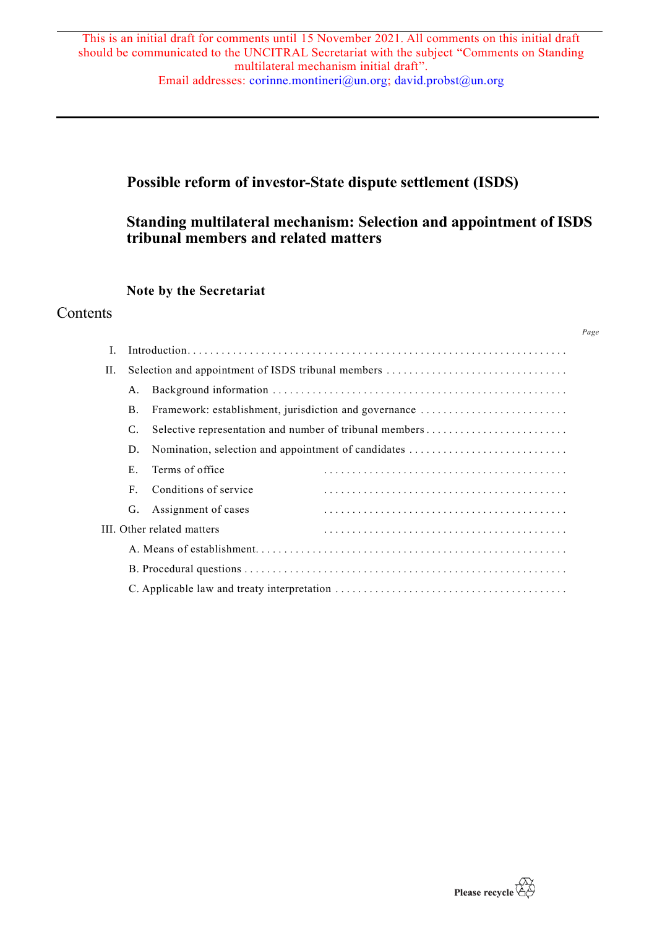# **Possible reform of investor-State dispute settlement (ISDS)**

# **Standing multilateral mechanism: Selection and appointment of ISDS tribunal members and related matters**

# **Note by the Secretariat**

# **Contents**

| П.                         |    |                                                         |  |
|----------------------------|----|---------------------------------------------------------|--|
|                            | А. |                                                         |  |
|                            | Β. | Framework: establishment, jurisdiction and governance   |  |
|                            | C. | Selective representation and number of tribunal members |  |
|                            | D. | Nomination, selection and appointment of candidates     |  |
|                            | Е. | Terms of office                                         |  |
|                            | F  | Conditions of service                                   |  |
|                            | G. | Assignment of cases                                     |  |
| III. Other related matters |    |                                                         |  |
|                            |    |                                                         |  |
|                            |    |                                                         |  |
|                            |    |                                                         |  |



*Page*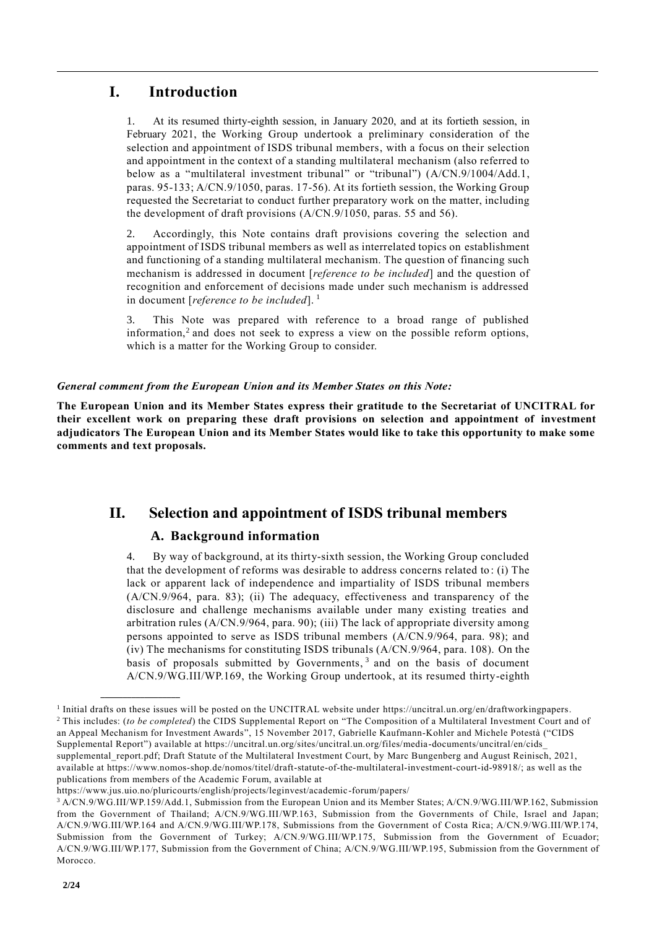# **I. Introduction**

1. At its resumed thirty-eighth session, in January 2020, and at its fortieth session, in February 2021, the Working Group undertook a preliminary consideration of the selection and appointment of ISDS tribunal members, with a focus on their selection and appointment in the context of a standing multilateral mechanism (also referred to below as a "multilateral investment tribunal" or "tribunal") (A/CN.9/1004/Add.1, paras. 95-133; A/CN.9/1050, paras. 17-56). At its fortieth session, the Working Group requested the Secretariat to conduct further preparatory work on the matter, including the development of draft provisions (A/CN.9/1050, paras. 55 and 56).

2. Accordingly, this Note contains draft provisions covering the selection and appointment of ISDS tribunal members as well as interrelated topics on establishment and functioning of a standing multilateral mechanism. The question of financing such mechanism is addressed in document [*reference to be included*] and the question of recognition and enforcement of decisions made under such mechanism is addressed in document [*reference to be included*]. 1

3. This Note was prepared with reference to a broad range of published information,<sup>2</sup> and does not seek to express a view on the possible reform options, which is a matter for the Working Group to consider.

# *General comment from the European Union and its Member States on this Note:*

**The European Union and its Member States express their gratitude to the Secretariat of UNCITRAL for their excellent work on preparing these draft provisions on selection and appointment of investment adjudicators The European Union and its Member States would like to take this opportunity to make some comments and text proposals.**

# **II. Selection and appointment of ISDS tribunal members**

# **A. Background information**

4. By way of background, at its thirty-sixth session, the Working Group concluded that the development of reforms was desirable to address concerns related to : (i) The lack or apparent lack of independence and impartiality of ISDS tribunal members (A/CN.9/964, para. 83); (ii) The adequacy, effectiveness and transparency of the disclosure and challenge mechanisms available under many existing treaties and arbitration rules (A/CN.9/964, para. 90); (iii) The lack of appropriate diversity among persons appointed to serve as ISDS tribunal members (A/CN.9/964, para. 98); and (iv) The mechanisms for constituting ISDS tribunals (A/CN.9/964, para. 108). On the basis of proposals submitted by Governments,  $3$  and on the basis of document A/CN.9/WG.III/WP.169, the Working Group undertook, at its resumed thirty-eighth

<sup>1</sup> Initial drafts on these issues will be posted on the UNCITRAL website under https://uncitral.un.org/en/draftworkingpapers. <sup>2</sup> This includes: (*to be completed*) the CIDS Supplemental Report on "The Composition of a Multilateral Investment Court and of an Appeal Mechanism for Investment Awards", 15 November 2017, Gabrielle Kaufmann-Kohler and Michele Potestà ("CIDS Supplemental Report") available at https://uncitral.un.org/sites/uncitral.un.org/files/media-documents/uncitral/en/cids\_ supplemental\_report.pdf; Draft Statute of the Multilateral Investment Court, by Marc Bungenberg and August Reinisch, 2021, available at https://www.nomos-shop.de/nomos/titel/draft-statute-of-the-multilateral-investment-court-id-98918/; as well as the publications from members of the Academic Forum, available at

https://www.jus.uio.no/pluricourts/english/projects/leginvest/academic -forum/papers/

<sup>3</sup> A/CN.9/WG.III/WP.159/Add.1, Submission from the European Union and its Member States; A/CN.9/WG.III/WP.162, Submission from the Government of Thailand; A/CN.9/WG.III/WP.163, Submission from the Governments of Chile, Israel and Japan; A/CN.9/WG.III/WP.164 and A/CN.9/WG.III/WP.178, Submissions from the Government of Costa Rica; A/CN.9/WG.III/WP.174, Submission from the Government of Turkey; A/CN.9/WG.III/WP.175, Submission from the Government of Ecuador; A/CN.9/WG.III/WP.177, Submission from the Government of China; A/CN.9/WG.III/WP.195, Submission from the Government of Morocco.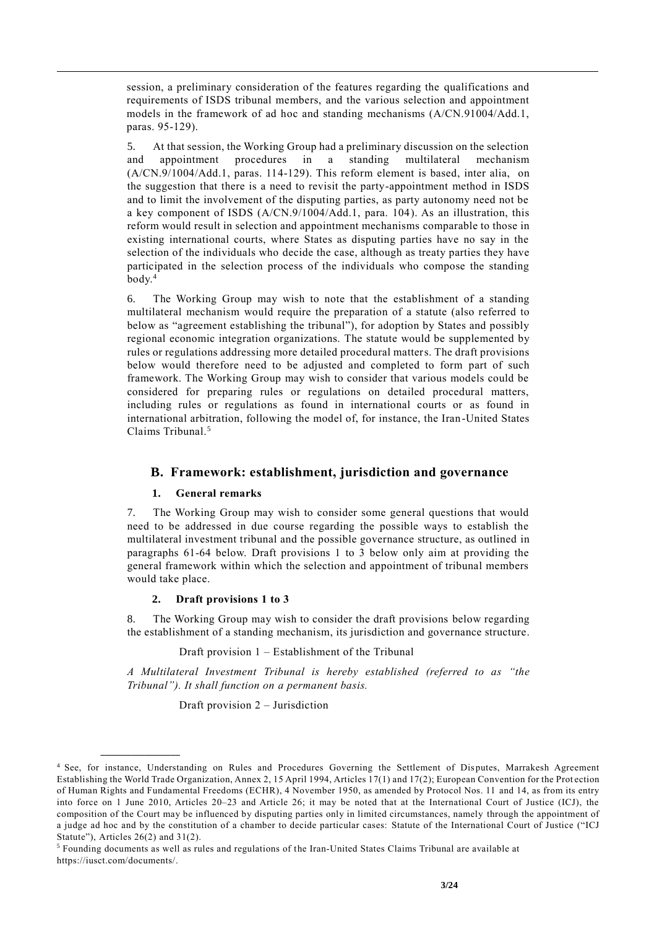session, a preliminary consideration of the features regarding the qualifications and requirements of ISDS tribunal members, and the various selection and appointment models in the framework of ad hoc and standing mechanisms (A/CN.91004/Add.1, paras. 95-129).

5. At that session, the Working Group had a preliminary discussion on the selection and appointment procedures in a standing multilateral mechanism (A/CN.9/1004/Add.1, paras. 114-129). This reform element is based, inter alia, on the suggestion that there is a need to revisit the party-appointment method in ISDS and to limit the involvement of the disputing parties, as party autonomy need not be a key component of ISDS (A/CN.9/1004/Add.1, para. 104). As an illustration, this reform would result in selection and appointment mechanisms comparable to those in existing international courts, where States as disputing parties have no say in the selection of the individuals who decide the case, although as treaty parties they have participated in the selection process of the individuals who compose the standing body. 4

6. The Working Group may wish to note that the establishment of a standing multilateral mechanism would require the preparation of a statute (also referred to below as "agreement establishing the tribunal"), for adoption by States and possibly regional economic integration organizations. The statute would be supplemented by rules or regulations addressing more detailed procedural matters. The draft provisions below would therefore need to be adjusted and completed to form part of such framework. The Working Group may wish to consider that various models could be considered for preparing rules or regulations on detailed procedural matters, including rules or regulations as found in international courts or as found in international arbitration, following the model of, for instance, the Iran-United States Claims Tribunal.<sup>5</sup>

# **B. Framework: establishment, jurisdiction and governance**

# **1. General remarks**

7. The Working Group may wish to consider some general questions that would need to be addressed in due course regarding the possible ways to establish the multilateral investment tribunal and the possible governance structure, as outlined in paragraphs 61-64 below. Draft provisions 1 to 3 below only aim at providing the general framework within which the selection and appointment of tribunal members would take place.

# **2. Draft provisions 1 to 3**

**\_\_\_\_\_\_\_\_\_\_\_\_\_\_\_\_\_\_**

8. The Working Group may wish to consider the draft provisions below regarding the establishment of a standing mechanism, its jurisdiction and governance structure.

# Draft provision 1 – Establishment of the Tribunal

*A Multilateral Investment Tribunal is hereby established (referred to as "the Tribunal"). It shall function on a permanent basis.*

Draft provision 2 – Jurisdiction

<sup>&</sup>lt;sup>4</sup> See, for instance, Understanding on Rules and Procedures Governing the Settlement of Disputes, Marrakesh Agreement Establishing the World Trade Organization, Annex 2, 15 April 1994, Articles 17(1) and 17(2); European Convention for the Prot ection of Human Rights and Fundamental Freedoms (ECHR), 4 November 1950, as amended by Protocol Nos. 11 and 14, as from its entry into force on 1 June 2010, Articles 20–23 and Article 26; it may be noted that at the International Court of Justice (ICJ), the composition of the Court may be influenced by disputing parties only in limited circumstances, namely through the appointment of a judge ad hoc and by the constitution of a chamber to decide particular cases: Statute of the International Court of Justice ("ICJ Statute"), Articles 26(2) and 31(2).

<sup>5</sup> Founding documents as well as rules and regulations of the Iran-United States Claims Tribunal are available at https://iusct.com/documents/.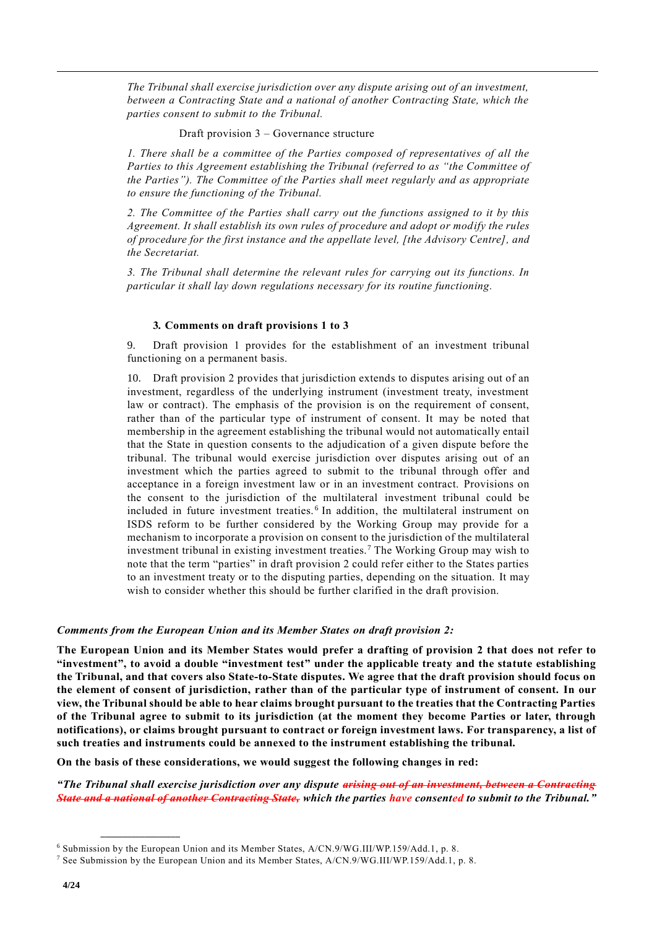*The Tribunal shall exercise jurisdiction over any dispute arising out of an investment, between a Contracting State and a national of another Contracting State, which the parties consent to submit to the Tribunal.*

Draft provision 3 – Governance structure

*1. There shall be a committee of the Parties composed of representatives of all the Parties to this Agreement establishing the Tribunal (referred to as "the Committee of the Parties"). The Committee of the Parties shall meet regularly and as appropriate to ensure the functioning of the Tribunal.*

*2. The Committee of the Parties shall carry out the functions assigned to it by this Agreement. It shall establish its own rules of procedure and adopt or modify the rules of procedure for the first instance and the appellate level, [the Advisory Centre], and the Secretariat.*

*3. The Tribunal shall determine the relevant rules for carrying out its functions. In particular it shall lay down regulations necessary for its routine functioning.* 

#### **3***.* **Comments on draft provisions 1 to 3**

9. Draft provision 1 provides for the establishment of an investment tribunal functioning on a permanent basis.

10. Draft provision 2 provides that jurisdiction extends to disputes arising out of an investment, regardless of the underlying instrument (investment treaty, investment law or contract). The emphasis of the provision is on the requirement of consent, rather than of the particular type of instrument of consent. It may be noted that membership in the agreement establishing the tribunal would not automatically entail that the State in question consents to the adjudication of a given dispute before the tribunal. The tribunal would exercise jurisdiction over disputes arising out of an investment which the parties agreed to submit to the tribunal through offer and acceptance in a foreign investment law or in an investment contract. Provisions on the consent to the jurisdiction of the multilateral investment tribunal could be included in future investment treaties. <sup>6</sup> In addition, the multilateral instrument on ISDS reform to be further considered by the Working Group may provide for a mechanism to incorporate a provision on consent to the jurisdiction of the multilateral investment tribunal in existing investment treaties.<sup>7</sup> The Working Group may wish to note that the term "parties" in draft provision 2 could refer either to the States parties to an investment treaty or to the disputing parties, depending on the situation. It may wish to consider whether this should be further clarified in the draft provision.

#### *Comments from the European Union and its Member States on draft provision 2:*

**The European Union and its Member States would prefer a drafting of provision 2 that does not refer to "investment", to avoid a double "investment test" under the applicable treaty and the statute establishing the Tribunal, and that covers also State-to-State disputes. We agree that the draft provision should focus on the element of consent of jurisdiction, rather than of the particular type of instrument of consent. In our view, the Tribunal should be able to hear claims brought pursuant to the treaties that the Contracting Parties of the Tribunal agree to submit to its jurisdiction (at the moment they become Parties or later, through notifications), or claims brought pursuant to contract or foreign investment laws. For transparency, a list of such treaties and instruments could be annexed to the instrument establishing the tribunal.** 

**On the basis of these considerations, we would suggest the following changes in red:**

*"The Tribunal shall exercise jurisdiction over any dispute arising out of an investment, between a Contracting State and a national of another Contracting State, which the parties have consented to submit to the Tribunal."* 

<sup>6</sup> Submission by the European Union and its Member States, A/CN.9/WG.III/WP.159/Add.1, p. 8.

<sup>7</sup> See Submission by the European Union and its Member States, A/CN.9/WG.III/WP.159/Add.1, p. 8.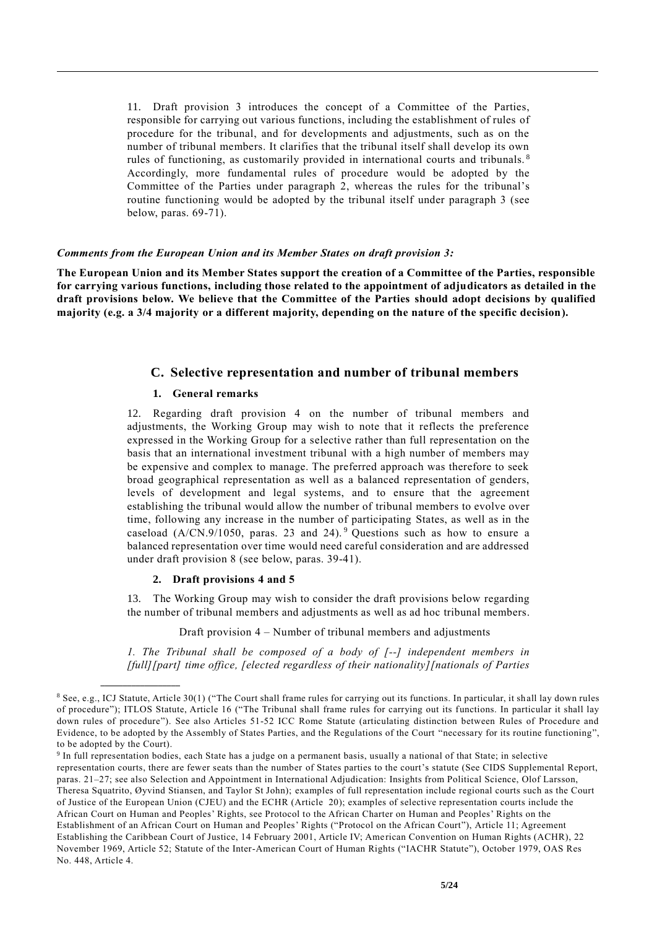11. Draft provision 3 introduces the concept of a Committee of the Parties, responsible for carrying out various functions, including the establishment of rules of procedure for the tribunal, and for developments and adjustments, such as on the number of tribunal members. It clarifies that the tribunal itself shall develop its own rules of functioning, as customarily provided in international courts and tribunals. <sup>8</sup> Accordingly, more fundamental rules of procedure would be adopted by the Committee of the Parties under paragraph 2, whereas the rules for the tribunal's routine functioning would be adopted by the tribunal itself under paragraph 3 (see below, paras. 69-71).

#### *Comments from the European Union and its Member States on draft provision 3:*

**The European Union and its Member States support the creation of a Committee of the Parties, responsible for carrying various functions, including those related to the appointment of adjudicators as detailed in the draft provisions below. We believe that the Committee of the Parties should adopt decisions by qualified majority (e.g. a 3/4 majority or a different majority, depending on the nature of the specific decision).** 

### **C. Selective representation and number of tribunal members**

### **1. General remarks**

12. Regarding draft provision 4 on the number of tribunal members and adjustments, the Working Group may wish to note that it reflects the preference expressed in the Working Group for a selective rather than full representation on the basis that an international investment tribunal with a high number of members may be expensive and complex to manage. The preferred approach was therefore to seek broad geographical representation as well as a balanced representation of genders, levels of development and legal systems, and to ensure that the agreement establishing the tribunal would allow the number of tribunal members to evolve over time, following any increase in the number of participating States, as well as in the caseload  $(A/CN.9/1050, \text{ paras. } 23 \text{ and } 24).$ <sup>9</sup> Questions such as how to ensure a balanced representation over time would need careful consideration and are addressed under draft provision 8 (see below, paras. 39-41).

### **2. Draft provisions 4 and 5**

**\_\_\_\_\_\_\_\_\_\_\_\_\_\_\_\_\_\_**

13. The Working Group may wish to consider the draft provisions below regarding the number of tribunal members and adjustments as well as ad hoc tribunal members.

Draft provision 4 – Number of tribunal members and adjustments

*1. The Tribunal shall be composed of a body of [--] independent members in [full][part] time office, [elected regardless of their nationality][nationals of Parties* 

<sup>8</sup> See, e.g., ICJ Statute, Article 30(1) ("The Court shall frame rules for carrying out its functions. In particular, it shall lay down rules of procedure"); ITLOS Statute, Article 16 ("The Tribunal shall frame rules for carrying out its functions. In particular it shall lay down rules of procedure"). See also Articles 51-52 ICC Rome Statute (articulating distinction between Rules of Procedure and Evidence, to be adopted by the Assembly of States Parties, and the Regulations of the Court "necessary for its routine functioning", to be adopted by the Court).

<sup>&</sup>lt;sup>9</sup> In full representation bodies, each State has a judge on a permanent basis, usually a national of that State; in selective representation courts, there are fewer seats than the number of States parties to the court's statute (See CIDS Supplemental Report, paras. 21–27; see also Selection and Appointment in International Adjudication: Insights from Political Science, Olof Larsson, Theresa Squatrito, Øyvind Stiansen, and Taylor St John); examples of full representation include regional courts such as the Court of Justice of the European Union (CJEU) and the ECHR (Article 20); examples of selective representation courts include the African Court on Human and Peoples' Rights, see Protocol to the African Charter on Human and Peoples' Rights on the Establishment of an African Court on Human and Peoples' Rights ("Protocol on the African Court"), Article 11; Agreement Establishing the Caribbean Court of Justice, 14 February 2001, Article IV; Ame rican Convention on Human Rights (ACHR), 22 November 1969, Article 52; Statute of the Inter-American Court of Human Rights ("IACHR Statute"), October 1979, OAS Res No. 448, Article 4.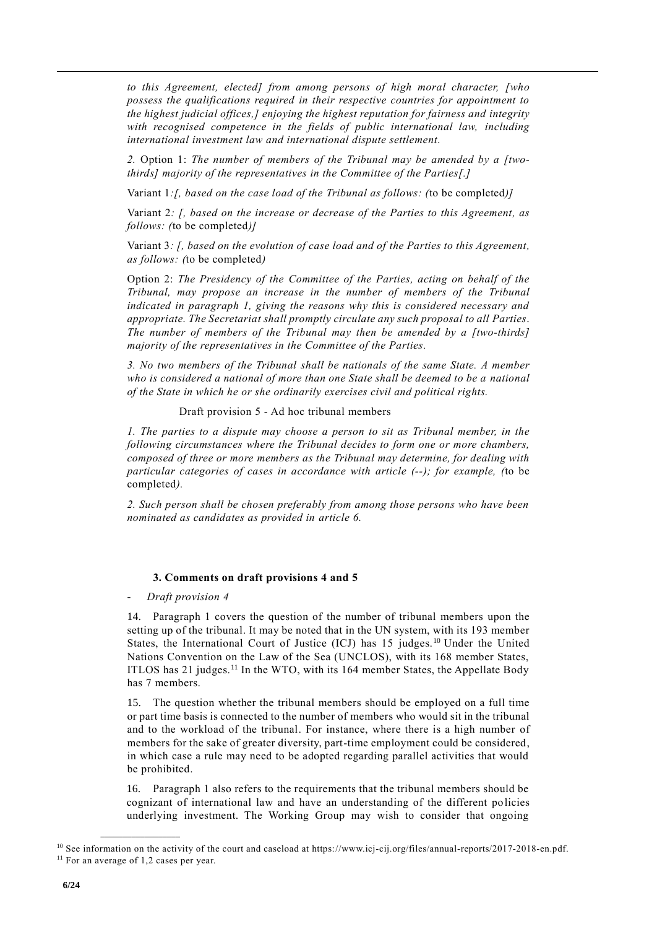*to this Agreement, elected] from among persons of high moral character, [who possess the qualifications required in their respective countries for appointment to the highest judicial offices,] enjoying the highest reputation for fairness and integrity with recognised competence in the fields of public international law, including international investment law and international dispute settlement.*

*2.* Option 1: *The number of members of the Tribunal may be amended by a [twothirds] majority of the representatives in the Committee of the Parties[.]* 

Variant 1*:[, based on the case load of the Tribunal as follows: (*to be completed*)]*

Variant 2*: [, based on the increase or decrease of the Parties to this Agreement, as follows: (*to be completed*)]*

Variant 3*: [, based on the evolution of case load and of the Parties to this Agreement, as follows: (*to be completed*)*

Option 2: *The Presidency of the Committee of the Parties, acting on behalf of the Tribunal, may propose an increase in the number of members of the Tribunal indicated in paragraph 1, giving the reasons why this is considered necessary and appropriate. The Secretariat shall promptly circulate any such proposal to all Parties*. *The number of members of the Tribunal may then be amended by a [two-thirds] majority of the representatives in the Committee of the Parties.*

*3. No two members of the Tribunal shall be nationals of the same State. A member who is considered a national of more than one State shall be deemed to be a national of the State in which he or she ordinarily exercises civil and political rights.*

Draft provision 5 - Ad hoc tribunal members

*1. The parties to a dispute may choose a person to sit as Tribunal member, in the following circumstances where the Tribunal decides to form one or more chambers, composed of three or more members as the Tribunal may determine, for dealing with particular categories of cases in accordance with article (--); for example, (*to be completed*).*

*2. Such person shall be chosen preferably from among those persons who have been nominated as candidates as provided in article 6.*

### **3. Comments on draft provisions 4 and 5**

- *Draft provision 4*

14. Paragraph 1 covers the question of the number of tribunal members upon the setting up of the tribunal. It may be noted that in the UN system, with its 193 member States, the International Court of Justice (ICJ) has  $15$  judges.<sup>10</sup> Under the United Nations Convention on the Law of the Sea (UNCLOS), with its 168 member States, ITLOS has 21 judges.<sup>11</sup> In the WTO, with its 164 member States, the Appellate Body has 7 members.

15. The question whether the tribunal members should be employed on a full time or part time basis is connected to the number of members who would sit in the tribunal and to the workload of the tribunal. For instance, where there is a high number of members for the sake of greater diversity, part-time employment could be considered, in which case a rule may need to be adopted regarding parallel activities that would be prohibited.

16. Paragraph 1 also refers to the requirements that the tribunal members should be cognizant of international law and have an understanding of the different policies underlying investment. The Working Group may wish to consider that ongoing

<sup>10</sup> See information on the activity of the court and caseload at https://www.icj-cij.org/files/annual-reports/2017-2018-en.pdf. <sup>11</sup> For an average of 1,2 cases per year.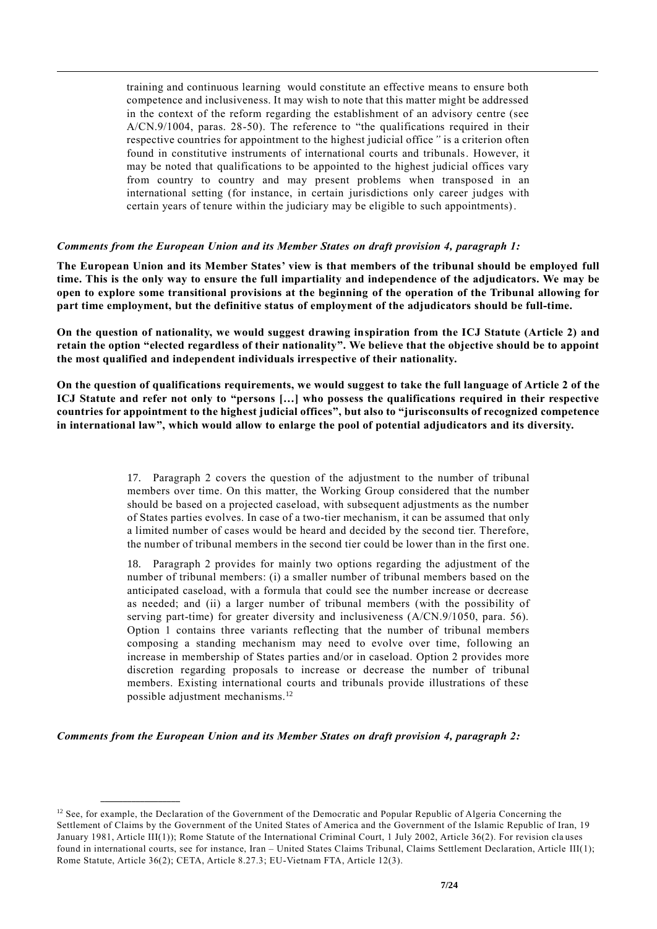training and continuous learning would constitute an effective means to ensure both competence and inclusiveness. It may wish to note that this matter might be addressed in the context of the reform regarding the establishment of an advisory centre (see A/CN.9/1004, paras. 28-50). The reference to "the qualifications required in their respective countries for appointment to the highest judicial office*"* is a criterion often found in constitutive instruments of international courts and tribunals. However, it may be noted that qualifications to be appointed to the highest judicial offices vary from country to country and may present problems when transposed in an international setting (for instance, in certain jurisdictions only career judges with certain years of tenure within the judiciary may be eligible to such appointments).

### *Comments from the European Union and its Member States on draft provision 4, paragraph 1:*

**The European Union and its Member States' view is that members of the tribunal should be employed full time. This is the only way to ensure the full impartiality and independence of the adjudicators. We may be open to explore some transitional provisions at the beginning of the operation of the Tribunal allowing for part time employment, but the definitive status of employment of the adjudicators should be full-time.** 

**On the question of nationality, we would suggest drawing inspiration from the ICJ Statute (Article 2) and retain the option "elected regardless of their nationality". We believe that the objective should be to appoint the most qualified and independent individuals irrespective of their nationality.**

**On the question of qualifications requirements, we would suggest to take the full language of Article 2 of the ICJ Statute and refer not only to "persons […] who possess the qualifications required in their respective countries for appointment to the highest judicial offices", but also to "jurisconsults of recognized competence in international law", which would allow to enlarge the pool of potential adjudicators and its diversity.**

> 17. Paragraph 2 covers the question of the adjustment to the number of tribunal members over time. On this matter, the Working Group considered that the number should be based on a projected caseload, with subsequent adjustments as the number of States parties evolves. In case of a two-tier mechanism, it can be assumed that only a limited number of cases would be heard and decided by the second tier. Therefore, the number of tribunal members in the second tier could be lower than in the first one.

> 18. Paragraph 2 provides for mainly two options regarding the adjustment of the number of tribunal members: (i) a smaller number of tribunal members based on the anticipated caseload, with a formula that could see the number increase or decrease as needed; and (ii) a larger number of tribunal members (with the possibility of serving part-time) for greater diversity and inclusiveness (A/CN.9/1050, para. 56). Option 1 contains three variants reflecting that the number of tribunal members composing a standing mechanism may need to evolve over time, following an increase in membership of States parties and/or in caseload. Option 2 provides more discretion regarding proposals to increase or decrease the number of tribunal members. Existing international courts and tribunals provide illustrations of these possible adjustment mechanisms. 12

*Comments from the European Union and its Member States on draft provision 4, paragraph 2:*

 $12$  See, for example, the Declaration of the Government of the Democratic and Popular Republic of Algeria Concerning the Settlement of Claims by the Government of the United States of America and the Government of the Islamic Republic of Iran, 19 January 1981, Article III(1)); Rome Statute of the International Criminal Court, 1 July 2002, Article 36(2). For revision cla uses found in international courts, see for instance, Iran – United States Claims Tribunal, Claims Settlement Declaration, Article III(1); Rome Statute, Article 36(2); CETA, Article 8.27.3; EU-Vietnam FTA, Article 12(3).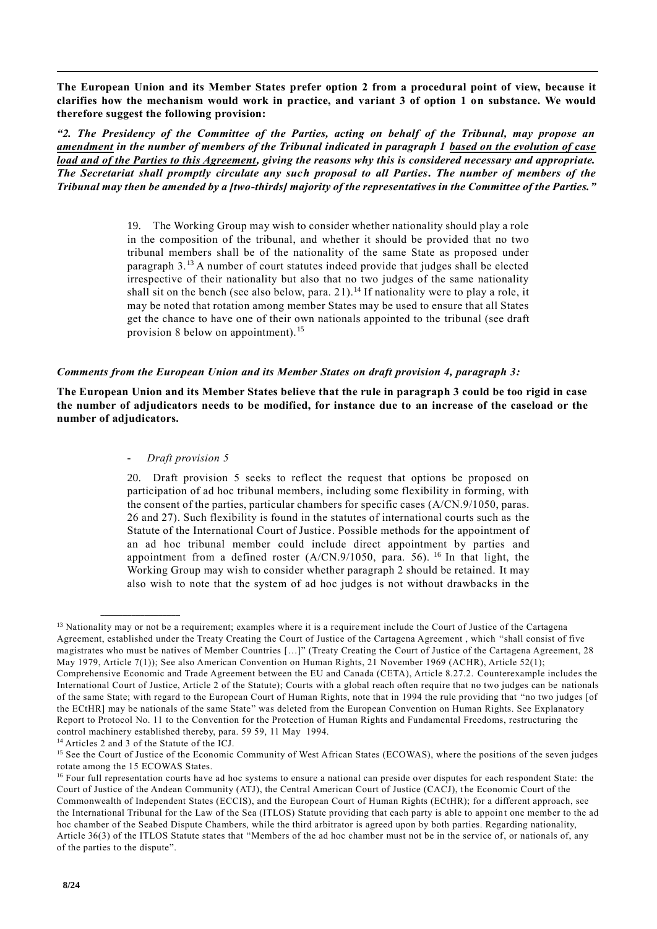**The European Union and its Member States prefer option 2 from a procedural point of view, because it clarifies how the mechanism would work in practice, and variant 3 of option 1 on substance. We would therefore suggest the following provision:**

*"2. The Presidency of the Committee of the Parties, acting on behalf of the Tribunal, may propose an amendment in the number of members of the Tribunal indicated in paragraph 1 based on the evolution of case load and of the Parties to this Agreement, giving the reasons why this is considered necessary and appropriate. The Secretariat shall promptly circulate any such proposal to all Parties***.** *The number of members of the Tribunal may then be amended by a [two-thirds] majority of the representatives in the Committee of the Parties."*

> 19. The Working Group may wish to consider whether nationality should play a role in the composition of the tribunal, and whether it should be provided that no two tribunal members shall be of the nationality of the same State as proposed under paragraph 3.<sup>13</sup> A number of court statutes indeed provide that judges shall be elected irrespective of their nationality but also that no two judges of the same nationality shall sit on the bench (see also below, para. 21).<sup>14</sup> If nationality were to play a role, it may be noted that rotation among member States may be used to ensure that all States get the chance to have one of their own nationals appointed to the tribunal (see draft provision 8 below on appointment).<sup>15</sup>

### *Comments from the European Union and its Member States on draft provision 4, paragraph 3:*

**The European Union and its Member States believe that the rule in paragraph 3 could be too rigid in case the number of adjudicators needs to be modified, for instance due to an increase of the caseload or the number of adjudicators.**

### - *Draft provision 5*

20. Draft provision 5 seeks to reflect the request that options be proposed on participation of ad hoc tribunal members, including some flexibility in forming, with the consent of the parties, particular chambers for specific cases (A/CN.9/1050, paras. 26 and 27). Such flexibility is found in the statutes of international courts such as the Statute of the International Court of Justice. Possible methods for the appointment of an ad hoc tribunal member could include direct appointment by parties and appointment from a defined roster  $(A/CN.9/1050,$  para. 56). <sup>16</sup> In that light, the Working Group may wish to consider whether paragraph 2 should be retained. It may also wish to note that the system of ad hoc judges is not without drawbacks in the

<sup>&</sup>lt;sup>13</sup> Nationality may or not be a requirement; examples where it is a requirement include the Court of Justice of the Cartagena Agreement, established under the Treaty Creating the Court of Justice of the Cartagena Agreement , which "shall consist of five magistrates who must be natives of Member Countries […]" (Treaty Creating the Court of Justice of the Cartagena Agreement, 28 May 1979, Article 7(1)); See also American Convention on Human Rights, 21 November 1969 (ACHR), Article 52(1); Comprehensive Economic and Trade Agreement between the EU and Canada (CETA), Article 8.27.2. Counterexample includes the International Court of Justice, Article 2 of the Statute); Courts with a global reach often require that no two judges can be nationals of the same State; with regard to the European Court of Human Rights, note that in 1994 the rule providing that "no two judges [of the ECtHR] may be nationals of the same State" was deleted from the European Convention on Human Rights. See Explanatory Report to Protocol No. 11 to the Convention for the Protection of Human Rights and Fundamental Freedoms, restructuring the control machinery established thereby, para. 59 59, 11 May 1994.

<sup>14</sup> Articles 2 and 3 of the Statute of the ICJ.

<sup>&</sup>lt;sup>15</sup> See the Court of Justice of the Economic Community of West African States (ECOWAS), where the positions of the seven judges rotate among the 15 ECOWAS States.

<sup>&</sup>lt;sup>16</sup> Four full representation courts have ad hoc systems to ensure a national can preside over disputes for each respondent State: the Court of Justice of the Andean Community (ATJ), the Central American Court of Justice (CACJ), the Economic Court of the Commonwealth of Independent States (ECCIS), and the European Court of Human Rights (ECtHR); for a different approach, see the International Tribunal for the Law of the Sea (ITLOS) Statute providing that each party is able to appoin t one member to the ad hoc chamber of the Seabed Dispute Chambers, while the third arbitrator is agreed upon by both parties. Regarding nationality, Article 36(3) of the ITLOS Statute states that "Members of the ad hoc chamber must not be in the service of, or nationals of, any of the parties to the dispute".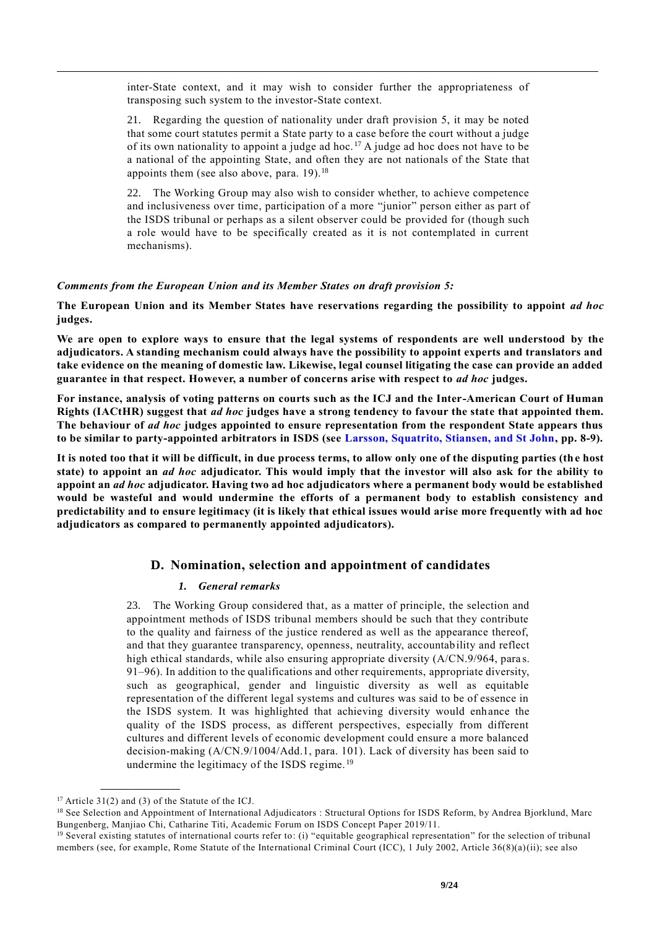inter-State context, and it may wish to consider further the appropriateness of transposing such system to the investor-State context.

21. Regarding the question of nationality under draft provision 5, it may be noted that some court statutes permit a State party to a case before the court without a judge of its own nationality to appoint a judge ad hoc.<sup>17</sup> A judge ad hoc does not have to be a national of the appointing State, and often they are not nationals of the State that appoints them (see also above, para.  $19$ ).<sup>18</sup>

22. The Working Group may also wish to consider whether, to achieve competence and inclusiveness over time, participation of a more "junior" person either as part of the ISDS tribunal or perhaps as a silent observer could be provided for (though such a role would have to be specifically created as it is not contemplated in current mechanisms).

# *Comments from the European Union and its Member States on draft provision 5:*

**The European Union and its Member States have reservations regarding the possibility to appoint** *ad hoc* **judges.**

**We are open to explore ways to ensure that the legal systems of respondents are well understood by the adjudicators. A standing mechanism could always have the possibility to appoint experts and translators and take evidence on the meaning of domestic law. Likewise, legal counsel litigating the case can provide an added guarantee in that respect. However, a number of concerns arise with respect to** *ad hoc* **judges.** 

**For instance, analysis of voting patterns on courts such as the ICJ and the Inter-American Court of Human Rights (IACtHR) suggest that** *ad hoc* **judges have a strong tendency to favour the state that appointed them. The behaviour of** *ad hoc* **judges appointed to ensure representation from the respondent State appears thus to be similar to party-appointed arbitrators in ISDS (see [Larsson, Squatrito, Stiansen, and St John,](https://www.jus.uio.no/pluricourts/english/projects/leginvest/academic-forum/papers/papers/larsson-selection-and-appointment-isds-af-10-2019.pdf) pp. 8-9).** 

**It is noted too that it will be difficult, in due process terms, to allow only one of the disputing parties (the host state) to appoint an** *ad hoc* **adjudicator. This would imply that the investor will also ask for the ability to appoint an** *ad hoc* **adjudicator. Having two ad hoc adjudicators where a permanent body would be established would be wasteful and would undermine the efforts of a permanent body to establish consistency and predictability and to ensure legitimacy (it is likely that ethical issues would arise more frequently with ad hoc adjudicators as compared to permanently appointed adjudicators).**

# **D. Nomination, selection and appointment of candidates**

# *1. General remarks*

23. The Working Group considered that, as a matter of principle, the selection and appointment methods of ISDS tribunal members should be such that they contribute to the quality and fairness of the justice rendered as well as the appearance thereof, and that they guarantee transparency, openness, neutrality, accountability and reflect high ethical standards, while also ensuring appropriate diversity (A/CN.9/964, paras. 91–96). In addition to the qualifications and other requirements, appropriate diversity, such as geographical, gender and linguistic diversity as well as equitable representation of the different legal systems and cultures was said to be of essence in the ISDS system. It was highlighted that achieving diversity would enhance the quality of the ISDS process, as different perspectives, especially from different cultures and different levels of economic development could ensure a more balanced decision-making (A/CN.9/1004/Add.1, para. 101). Lack of diversity has been said to undermine the legitimacy of the ISDS regime. <sup>19</sup>

 $17$  Article 31(2) and (3) of the Statute of the ICJ.

<sup>&</sup>lt;sup>18</sup> See Selection and Appointment of International Adjudicators : Structural Options for ISDS Reform, by Andrea Bjorklund, Marc Bungenberg, Manjiao Chi, Catharine Titi, Academic Forum on ISDS Concept Paper 2019/11.

<sup>&</sup>lt;sup>19</sup> Several existing statutes of international courts refer to: (i) "equitable geographical representation" for the selection of tribunal members (see, for example, Rome Statute of the International Criminal Court (ICC), 1 July 2002, Article 36(8)(a)(ii); see also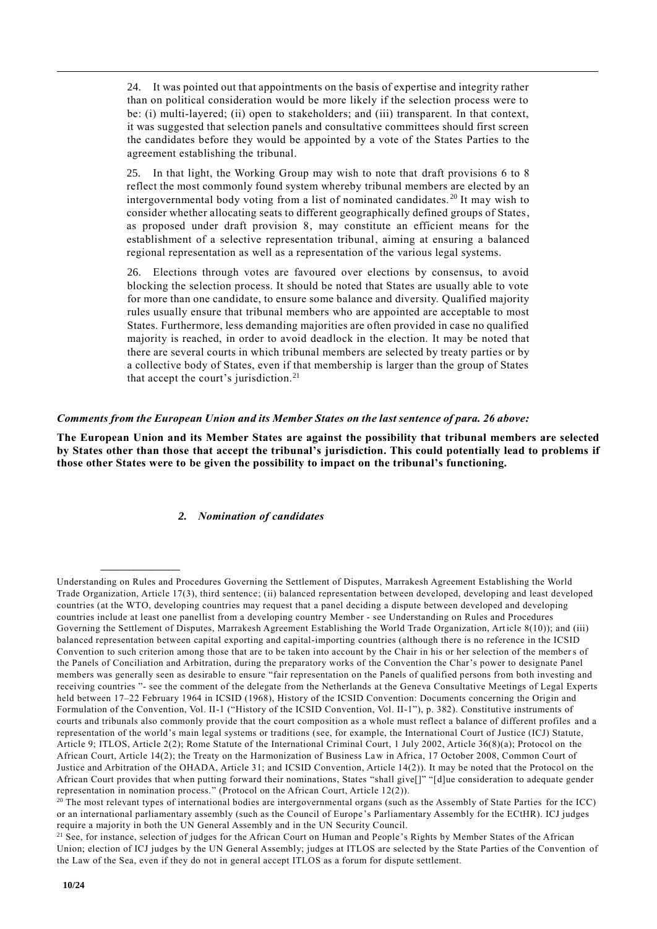24. It was pointed out that appointments on the basis of expertise and integrity rather than on political consideration would be more likely if the selection process were to be: (i) multi-layered; (ii) open to stakeholders; and (iii) transparent. In that context, it was suggested that selection panels and consultative committees should first screen the candidates before they would be appointed by a vote of the States Parties to the agreement establishing the tribunal.

25. In that light, the Working Group may wish to note that draft provisions 6 to 8 reflect the most commonly found system whereby tribunal members are elected by an intergovernmental body voting from a list of nominated candidates. <sup>20</sup> It may wish to consider whether allocating seats to different geographically defined groups of States, as proposed under draft provision 8, may constitute an efficient means for the establishment of a selective representation tribunal, aiming at ensuring a balanced regional representation as well as a representation of the various legal systems.

26. Elections through votes are favoured over elections by consensus, to avoid blocking the selection process. It should be noted that States are usually able to vote for more than one candidate, to ensure some balance and diversity. Qualified majority rules usually ensure that tribunal members who are appointed are acceptable to most States. Furthermore, less demanding majorities are often provided in case no qualified majority is reached, in order to avoid deadlock in the election. It may be noted that there are several courts in which tribunal members are selected by treaty parties or by a collective body of States, even if that membership is larger than the group of States that accept the court's jurisdiction.<sup>21</sup>

# *Comments from the European Union and its Member States on the last sentence of para. 26 above:*

**The European Union and its Member States are against the possibility that tribunal members are selected by States other than those that accept the tribunal's jurisdiction. This could potentially lead to problems if those other States were to be given the possibility to impact on the tribunal's functioning.** 

# *2. Nomination of candidates*

Understanding on Rules and Procedures Governing the Settlement of Disputes, Marrakesh Agreement Establishing the World Trade Organization, Article 17(3), third sentence; (ii) balanced representation between developed, developing and least developed countries (at the WTO, developing countries may request that a panel deciding a dispute between developed and developing countries include at least one panellist from a developing country Member - see Understanding on Rules and Procedures Governing the Settlement of Disputes, Marrakesh Agreement Establishing the World Trade Organization, Art icle 8(10)); and (iii) balanced representation between capital exporting and capital-importing countries (although there is no reference in the ICSID Convention to such criterion among those that are to be taken into account by the Chair in his or her selection of the members of the Panels of Conciliation and Arbitration, during the preparatory works of the Convention the Char's power to designate Panel members was generally seen as desirable to ensure "fair representation on the Panels of qualified persons from both investing and receiving countries "- see the comment of the delegate from the Netherlands at the Geneva Consultative Meetings of Legal Experts held between 17–22 February 1964 in ICSID (1968), History of the ICSID Convention: Documents concerning the Origin and Formulation of the Convention, Vol. II-1 ("History of the ICSID Convention, Vol. II-1"), p. 382). Constitutive instruments of courts and tribunals also commonly provide that the court composition as a whole must reflect a balance of different profiles and a representation of the world's main legal systems or traditions (see, for example, the International Court of Justice (ICJ) Statute, Article 9; ITLOS, Article 2(2); Rome Statute of the International Criminal Court, 1 July 2002, Article 36(8)(a); Protocol on the African Court, Article 14(2); the Treaty on the Harmonization of Business Law in Africa, 17 October 2008, Common Court of Justice and Arbitration of the OHADA, Article 31; and ICSID Convention, Article 14(2)). It may be noted that the Protocol on the African Court provides that when putting forward their nominations, States "shall give[]" "[d]ue consideration to adequate gender representation in nomination process." (Protocol on the African Court, Article 12(2)).

 $20$  The most relevant types of international bodies are intergovernmental organs (such as the Assembly of State Parties for the ICC) or an international parliamentary assembly (such as the Council of Europe 's Parliamentary Assembly for the ECtHR). ICJ judges require a majority in both the UN General Assembly and in the UN Security Council.

<sup>&</sup>lt;sup>21</sup> See, for instance, selection of judges for the African Court on Human and People's Rights by Member States of the African Union; election of ICJ judges by the UN General Assembly; judges at ITLOS are selected by the State Parties of the Convention of the Law of the Sea, even if they do not in general accept ITLOS as a forum for dispute settlement.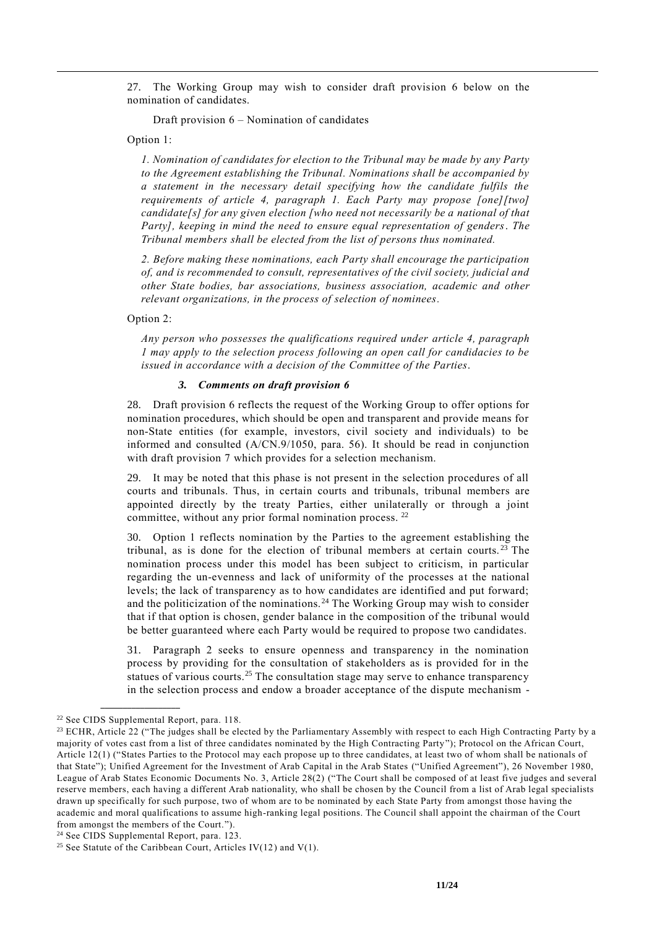27. The Working Group may wish to consider draft provision 6 below on the nomination of candidates.

Draft provision 6 – Nomination of candidates

Option 1:

*1. Nomination of candidates for election to the Tribunal may be made by any Party to the Agreement establishing the Tribunal. Nominations shall be accompanied by a statement in the necessary detail specifying how the candidate fulfils the requirements of article 4, paragraph 1. Each Party may propose [one][two] candidate[s] for any given election [who need not necessarily be a national of that Party], keeping in mind the need to ensure equal representation of genders*. *The Tribunal members shall be elected from the list of persons thus nominated.*

*2. Before making these nominations, each Party shall encourage the participation of, and is recommended to consult, representatives of the civil society, judicial and other State bodies, bar associations, business association, academic and other relevant organizations, in the process of selection of nominees.*

Option 2:

*Any person who possesses the qualifications required under article 4, paragraph 1 may apply to the selection process following an open call for candidacies to be issued in accordance with a decision of the Committee of the Parties*.

### *3. Comments on draft provision 6*

28. Draft provision 6 reflects the request of the Working Group to offer options for nomination procedures, which should be open and transparent and provide means for non-State entities (for example, investors, civil society and individuals) to be informed and consulted (A/CN.9/1050, para. 56). It should be read in conjunction with draft provision 7 which provides for a selection mechanism.

29. It may be noted that this phase is not present in the selection procedures of all courts and tribunals. Thus, in certain courts and tribunals, tribunal members are appointed directly by the treaty Parties, either unilaterally or through a joint committee, without any prior formal nomination process. <sup>22</sup>

30. Option 1 reflects nomination by the Parties to the agreement establishing the tribunal, as is done for the election of tribunal members at certain courts. <sup>23</sup> The nomination process under this model has been subject to criticism, in particular regarding the un-evenness and lack of uniformity of the processes at the national levels; the lack of transparency as to how candidates are identified and put forward; and the politicization of the nominations. <sup>24</sup> The Working Group may wish to consider that if that option is chosen, gender balance in the composition of the tribunal would be better guaranteed where each Party would be required to propose two candidates.

31. Paragraph 2 seeks to ensure openness and transparency in the nomination process by providing for the consultation of stakeholders as is provided for in the statues of various courts.<sup>25</sup> The consultation stage may serve to enhance transparency in the selection process and endow a broader acceptance of the dispute mechanism -

<sup>22</sup> See CIDS Supplemental Report, para. 118.

 $^{23}$  ECHR, Article 22 ("The judges shall be elected by the Parliamentary Assembly with respect to each High Contracting Party by a majority of votes cast from a list of three candidates nominated by the High Contracting Party"); Protocol on the African Court, Article 12(1) ("States Parties to the Protocol may each propose up to three candidates, at least two of whom shall be nationals of that State"); Unified Agreement for the Investment of Arab Capital in the Arab States ("Unified Agreement"), 26 November 1980, League of Arab States Economic Documents No. 3, Article 28(2) ("The Court shall be composed of at least five judges and several reserve members, each having a different Arab nationality, who shall be chosen by the Council from a list of Arab legal specialists drawn up specifically for such purpose, two of whom are to be nominated by each State Party from amongst those having the academic and moral qualifications to assume high-ranking legal positions. The Council shall appoint the chairman of the Court from amongst the members of the Court.").

<sup>&</sup>lt;sup>24</sup> See CIDS Supplemental Report, para. 123.

<sup>&</sup>lt;sup>25</sup> See Statute of the Caribbean Court, Articles IV(12) and V(1).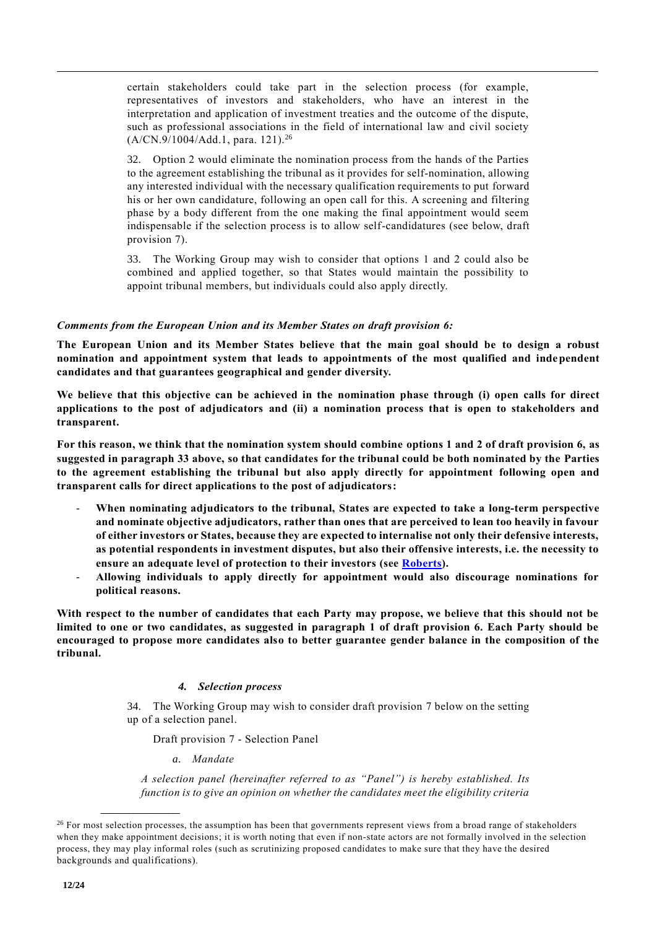certain stakeholders could take part in the selection process (for example, representatives of investors and stakeholders, who have an interest in the interpretation and application of investment treaties and the outcome of the dispute, such as professional associations in the field of international law and civil society (A/CN.9/1004/Add.1, para. 121).<sup>26</sup>

32. Option 2 would eliminate the nomination process from the hands of the Parties to the agreement establishing the tribunal as it provides for self-nomination, allowing any interested individual with the necessary qualification requirements to put forward his or her own candidature, following an open call for this. A screening and filtering phase by a body different from the one making the final appointment would seem indispensable if the selection process is to allow self-candidatures (see below, draft provision 7).

33. The Working Group may wish to consider that options 1 and 2 could also be combined and applied together, so that States would maintain the possibility to appoint tribunal members, but individuals could also apply directly.

# *Comments from the European Union and its Member States on draft provision 6:*

**The European Union and its Member States believe that the main goal should be to design a robust nomination and appointment system that leads to appointments of the most qualified and independent candidates and that guarantees geographical and gender diversity.** 

**We believe that this objective can be achieved in the nomination phase through (i) open calls for direct applications to the post of adjudicators and (ii) a nomination process that is open to stakeholders and transparent.**

**For this reason, we think that the nomination system should combine options 1 and 2 of draft provision 6, as suggested in paragraph 33 above, so that candidates for the tribunal could be both nominated by the Parties to the agreement establishing the tribunal but also apply directly for appointment following open and transparent calls for direct applications to the post of adjudicators:**

- **When nominating adjudicators to the tribunal, States are expected to take a long-term perspective and nominate objective adjudicators, rather than ones that are perceived to lean too heavily in favour of either investors or States, because they are expected to internalise not only their defensive interests, as potential respondents in investment disputes, but also their offensive interests, i.e. the necessity to ensure an adequate level of protection to their investors (see [Roberts\)](https://www.ejiltalk.org/would-a-multilateral-investment-court-be-biased-shifting-to-a-treaty-party-framework-of-analysis/).**
- **Allowing individuals to apply directly for appointment would also discourage nominations for political reasons.**

**With respect to the number of candidates that each Party may propose, we believe that this should not be limited to one or two candidates, as suggested in paragraph 1 of draft provision 6. Each Party should be encouraged to propose more candidates also to better guarantee gender balance in the composition of the tribunal.**

# *4. Selection process*

34. The Working Group may wish to consider draft provision 7 below on the setting up of a selection panel.

Draft provision 7 - Selection Panel

*a. Mandate*

**\_\_\_\_\_\_\_\_\_\_\_\_\_\_\_\_\_\_**

*A selection panel (hereinafter referred to as "Panel") is hereby established. Its function is to give an opinion on whether the candidates meet the eligibility criteria* 

<sup>&</sup>lt;sup>26</sup> For most selection processes, the assumption has been that governments represent views from a broad range of stakeholders when they make appointment decisions; it is worth noting that even if non-state actors are not formally involved in the selection process, they may play informal roles (such as scrutinizing proposed candidates to make sure that they have the desired backgrounds and qualifications).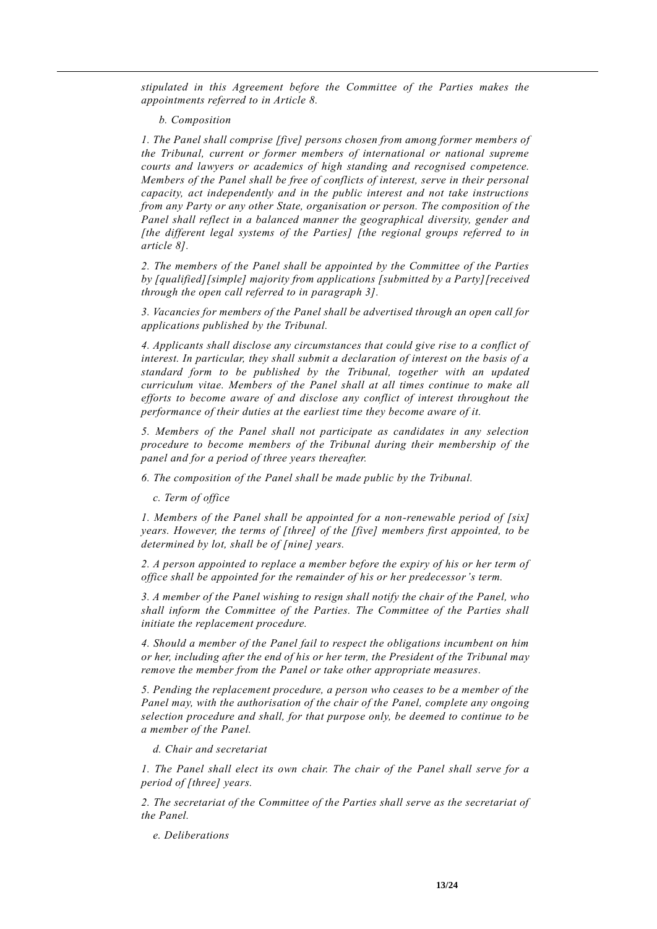*stipulated in this Agreement before the Committee of the Parties makes the appointments referred to in Article 8.*

 *b. Composition* 

*1. The Panel shall comprise [five] persons chosen from among former members of the Tribunal, current or former members of international or national supreme courts and lawyers or academics of high standing and recognised competence. Members of the Panel shall be free of conflicts of interest, serve in their personal capacity, act independently and in the public interest and not take instructions from any Party or any other State, organisation or person. The composition of the Panel shall reflect in a balanced manner the geographical diversity, gender and [the different legal systems of the Parties] [the regional groups referred to in article 8].* 

*2. The members of the Panel shall be appointed by the Committee of the Parties by [qualified][simple] majority from applications [submitted by a Party][received through the open call referred to in paragraph 3].* 

*3. Vacancies for members of the Panel shall be advertised through an open call for applications published by the Tribunal.*

*4. Applicants shall disclose any circumstances that could give rise to a conflict of interest. In particular, they shall submit a declaration of interest on the basis of a standard form to be published by the Tribunal, together with an updated curriculum vitae. Members of the Panel shall at all times continue to make all efforts to become aware of and disclose any conflict of interest throughout the performance of their duties at the earliest time they become aware of it.* 

*5. Members of the Panel shall not participate as candidates in any selection procedure to become members of the Tribunal during their membership of the panel and for a period of three years thereafter.* 

*6. The composition of the Panel shall be made public by the Tribunal.*

*c. Term of office*

*1. Members of the Panel shall be appointed for a non-renewable period of [six] years. However, the terms of [three] of the [five] members first appointed, to be determined by lot, shall be of [nine] years.*

*2. A person appointed to replace a member before the expiry of his or her term of office shall be appointed for the remainder of his or her predecessor's term.* 

*3. A member of the Panel wishing to resign shall notify the chair of the Panel, who shall inform the Committee of the Parties. The Committee of the Parties shall initiate the replacement procedure.*

*4. Should a member of the Panel fail to respect the obligations incumbent on him or her, including after the end of his or her term, the President of the Tribunal may remove the member from the Panel or take other appropriate measures.*

*5. Pending the replacement procedure, a person who ceases to be a member of the Panel may, with the authorisation of the chair of the Panel, complete any ongoing selection procedure and shall, for that purpose only, be deemed to continue to be a member of the Panel.* 

*d. Chair and secretariat* 

*1. The Panel shall elect its own chair. The chair of the Panel shall serve for a period of [three] years.* 

*2. The secretariat of the Committee of the Parties shall serve as the secretariat of the Panel.* 

*e. Deliberations*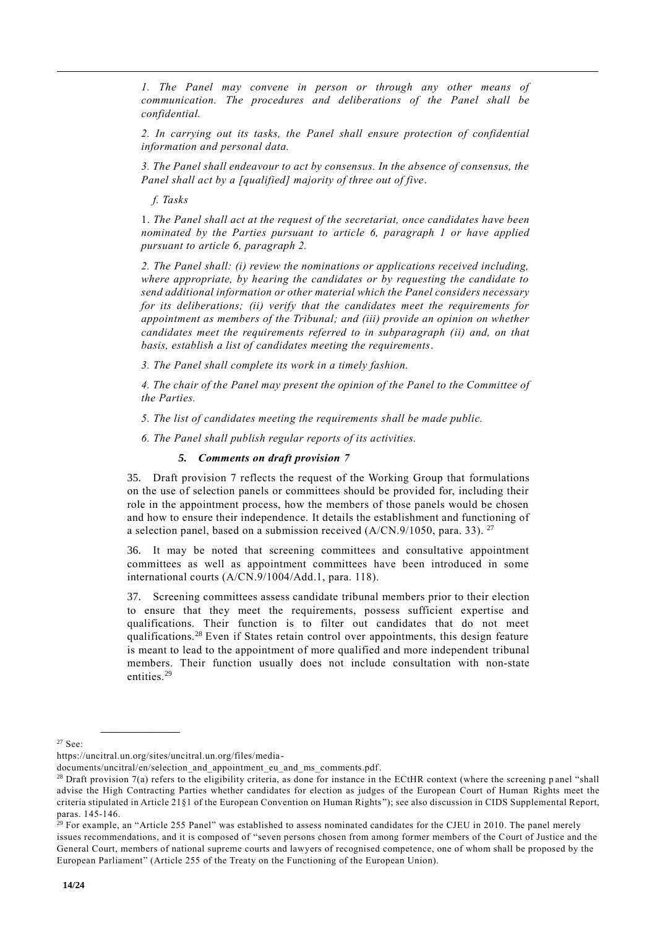*1. The Panel may convene in person or through any other means of communication. The procedures and deliberations of the Panel shall be confidential.*

*2. In carrying out its tasks, the Panel shall ensure protection of confidential information and personal data.* 

*3. The Panel shall endeavour to act by consensus. In the absence of consensus, the Panel shall act by a [qualified] majority of three out of five*.

*f. Tasks* 

1. *The Panel shall act at the request of the secretariat, once candidates have been nominated by the Parties pursuant to article 6, paragraph 1 or have applied pursuant to article 6, paragraph 2.*

*2. The Panel shall: (i) review the nominations or applications received including, where appropriate, by hearing the candidates or by requesting the candidate to send additional information or other material which the Panel considers necessary for its deliberations; (ii) verify that the candidates meet the requirements for appointment as members of the Tribunal; and (iii) provide an opinion on whether candidates meet the requirements referred to in subparagraph (ii) and, on that basis, establish a list of candidates meeting the requirements*.

*3. The Panel shall complete its work in a timely fashion.*

*4. The chair of the Panel may present the opinion of the Panel to the Committee of the Parties.* 

*5. The list of candidates meeting the requirements shall be made public.* 

*6. The Panel shall publish regular reports of its activities.* 

*5. Comments on draft provision 7*

35. Draft provision 7 reflects the request of the Working Group that formulations on the use of selection panels or committees should be provided for, including their role in the appointment process, how the members of those panels would be chosen and how to ensure their independence. It details the establishment and functioning of a selection panel, based on a submission received  $(A/CN.9/1050,$  para. 33). <sup>27</sup>

36. It may be noted that screening committees and consultative appointment committees as well as appointment committees have been introduced in some international courts (A/CN.9/1004/Add.1, para. 118).

37. Screening committees assess candidate tribunal members prior to their election to ensure that they meet the requirements, possess sufficient expertise and qualifications. Their function is to filter out candidates that do not meet qualifications.<sup>28</sup> Even if States retain control over appointments, this design feature is meant to lead to the appointment of more qualified and more independent tribunal members. Their function usually does not include consultation with non-state entities.<sup>29</sup>

<sup>27</sup> See:

https://uncitral.un.org/sites/uncitral.un.org/files/media-

documents/uncitral/en/selection and appointment eu and ms comments.pdf.

 $28$  Draft provision 7(a) refers to the eligibility criteria, as done for instance in the ECtHR context (where the screening p anel "shall advise the High Contracting Parties whether candidates for election as judges of the European Court of Human Rights meet the criteria stipulated in Article 21§1 of the European Convention on Human Rights "); see also discussion in CIDS Supplemental Report, paras. 145-146.

<sup>&</sup>lt;sup>29</sup> For example, an "Article 255 Panel" was established to assess nominated candidates for the CJEU in 2010. The panel merely issues recommendations, and it is composed of "seven persons chosen from among former members of the Court of Justice and the General Court, members of national supreme courts and lawyers of recognised competence, one of whom shall be proposed by the European Parliament" (Article 255 of the Treaty on the Functioning of the European Union).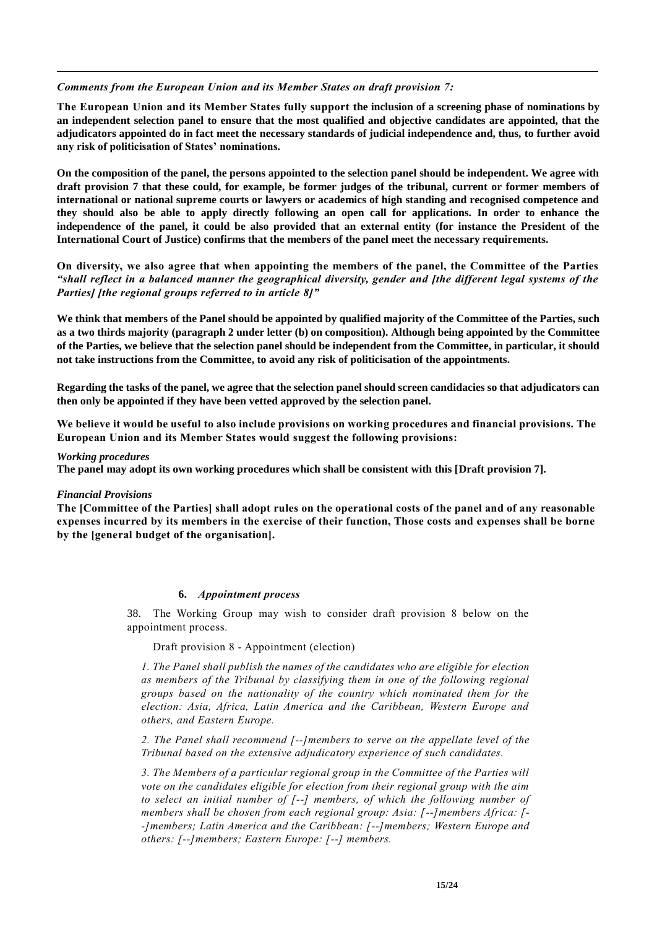### *Comments from the European Union and its Member States on draft provision 7:*

**The European Union and its Member States fully support the inclusion of a screening phase of nominations by an independent selection panel to ensure that the most qualified and objective candidates are appointed, that the adjudicators appointed do in fact meet the necessary standards of judicial independence and, thus, to further avoid any risk of politicisation of States' nominations.**

**On the composition of the panel, the persons appointed to the selection panel should be independent. We agree with draft provision 7 that these could, for example, be former judges of the tribunal, current or former members of international or national supreme courts or lawyers or academics of high standing and recognised competence and they should also be able to apply directly following an open call for applications. In order to enhance the independence of the panel, it could be also provided that an external entity (for instance the President of the International Court of Justice) confirms that the members of the panel meet the necessary requirements.** 

**On diversity, we also agree that when appointing the members of the panel, the Committee of the Parties**  *"shall reflect in a balanced manner the geographical diversity, gender and [the different legal systems of the Parties] [the regional groups referred to in article 8]"*

**We think that members of the Panel should be appointed by qualified majority of the Committee of the Parties, such as a two thirds majority (paragraph 2 under letter (b) on composition). Although being appointed by the Committee of the Parties, we believe that the selection panel should be independent from the Committee, in particular, it should not take instructions from the Committee, to avoid any risk of politicisation of the appointments.** 

**Regarding the tasks of the panel, we agree that the selection panel should screen candidacies so that adjudicators can then only be appointed if they have been vetted approved by the selection panel.**

**We believe it would be useful to also include provisions on working procedures and financial provisions. The European Union and its Member States would suggest the following provisions:**

#### *Working procedures*

**The panel may adopt its own working procedures which shall be consistent with this [Draft provision 7].** 

#### *Financial Provisions*

**The [Committee of the Parties] shall adopt rules on the operational costs of the panel and of any reasonable expenses incurred by its members in the exercise of their function, Those costs and expenses shall be borne by the [general budget of the organisation].**

#### **6.** *Appointment process*

38. The Working Group may wish to consider draft provision 8 below on the appointment process.

#### Draft provision 8 - Appointment (election)

*1. The Panel shall publish the names of the candidates who are eligible for election as members of the Tribunal by classifying them in one of the following regional groups based on the nationality of the country which nominated them for the election: Asia, Africa, Latin America and the Caribbean, Western Europe and others, and Eastern Europe.* 

*2. The Panel shall recommend [--]members to serve on the appellate level of the Tribunal based on the extensive adjudicatory experience of such candidates.*

*3. The Members of a particular regional group in the Committee of the Parties will vote on the candidates eligible for election from their regional group with the aim to select an initial number of [--] members, of which the following number of members shall be chosen from each regional group: Asia: [--]members Africa: [- -]members; Latin America and the Caribbean: [--]members; Western Europe and others: [--]members; Eastern Europe: [--] members.*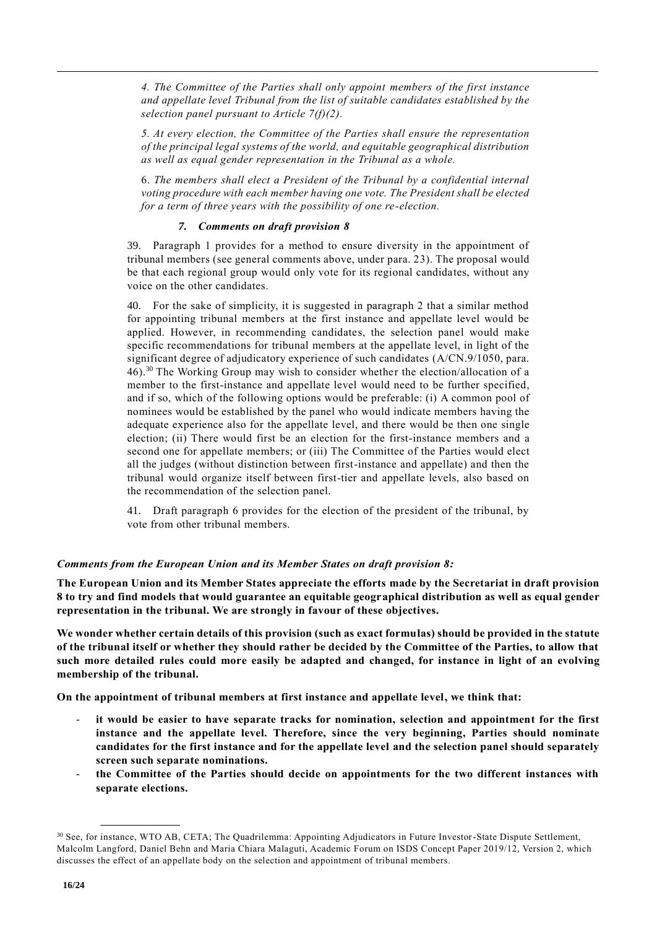*4. The Committee of the Parties shall only appoint members of the first instance and appellate level Tribunal from the list of suitable candidates established by the selection panel pursuant to Article 7(f)(2).* 

*5. At every election, the Committee of the Parties shall ensure the representation of the principal legal systems of the world, and equitable geographical distribution as well as equal gender representation in the Tribunal as a whole.*

6. *The members shall elect a President of the Tribunal by a confidential internal voting procedure with each member having one vote. The President shall be elected for a term of three years with the possibility of one re-election.*

# *7. Comments on draft provision 8*

39. Paragraph 1 provides for a method to ensure diversity in the appointment of tribunal members (see general comments above, under para. 23). The proposal would be that each regional group would only vote for its regional candidates, without any voice on the other candidates.

40. For the sake of simplicity, it is suggested in paragraph 2 that a similar method for appointing tribunal members at the first instance and appellate level would be applied. However, in recommending candidates, the selection panel would make specific recommendations for tribunal members at the appellate level, in light of the significant degree of adjudicatory experience of such candidates (A/CN.9/1050, para. 46). <sup>30</sup> The Working Group may wish to consider whether the election/allocation of a member to the first-instance and appellate level would need to be further specified, and if so, which of the following options would be preferable: (i) A common pool of nominees would be established by the panel who would indicate members having the adequate experience also for the appellate level, and there would be then one single election; (ii) There would first be an election for the first-instance members and a second one for appellate members; or (iii) The Committee of the Parties would elect all the judges (without distinction between first-instance and appellate) and then the tribunal would organize itself between first-tier and appellate levels, also based on the recommendation of the selection panel.

41. Draft paragraph 6 provides for the election of the president of the tribunal, by vote from other tribunal members.

# *Comments from the European Union and its Member States on draft provision 8:*

**The European Union and its Member States appreciate the efforts made by the Secretariat in draft provision 8 to try and find models that would guarantee an equitable geographical distribution as well as equal gender representation in the tribunal. We are strongly in favour of these objectives.** 

**We wonder whether certain details of this provision (such as exact formulas) should be provided in the statute of the tribunal itself or whether they should rather be decided by the Committee of the Parties, to allow that such more detailed rules could more easily be adapted and changed, for instance in light of an evolving membership of the tribunal.**

**On the appointment of tribunal members at first instance and appellate level, we think that:**

- it would be easier to have separate tracks for nomination, selection and appointment for the first **instance and the appellate level. Therefore, since the very beginning, Parties should nominate candidates for the first instance and for the appellate level and the selection panel should separately screen such separate nominations.**
- **the Committee of the Parties should decide on appointments for the two different instances with separate elections.**

<sup>30</sup> See, for instance, WTO AB, CETA; The Quadrilemma: Appointing Adjudicators in Future Investor-State Dispute Settlement, Malcolm Langford, Daniel Behn and Maria Chiara Malaguti, Academic Forum on ISDS Concept Paper 2019/12, Version 2, which discusses the effect of an appellate body on the selection and appointment of tribunal members.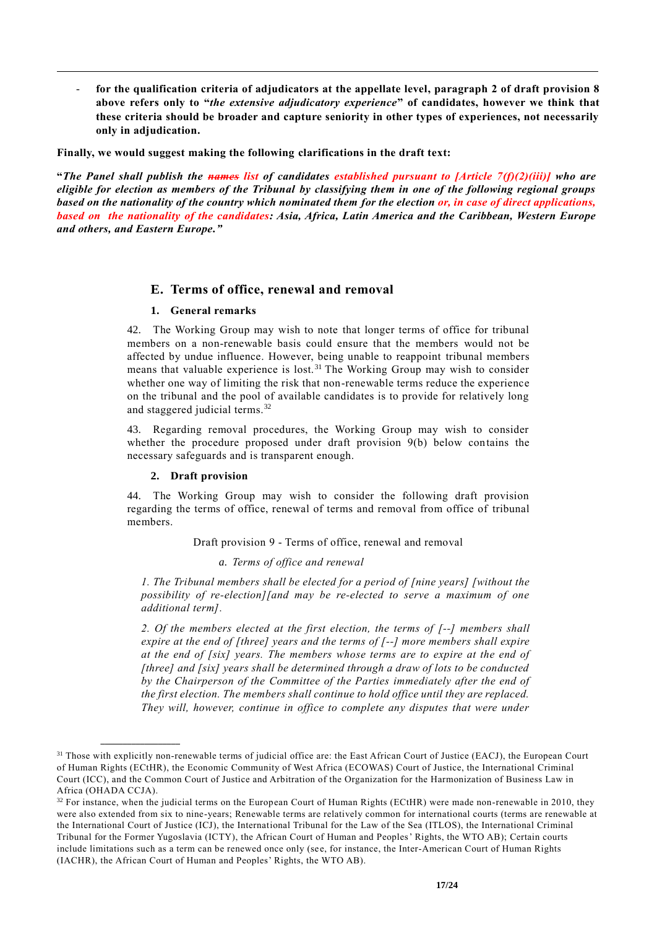- **for the qualification criteria of adjudicators at the appellate level, paragraph 2 of draft provision 8 above refers only to "***the extensive adjudicatory experience***" of candidates, however we think that these criteria should be broader and capture seniority in other types of experiences, not necessarily only in adjudication.**

**Finally, we would suggest making the following clarifications in the draft text:**

**"***The Panel shall publish the names list of candidates established pursuant to [Article 7(f)(2)(iii)] who are eligible for election as members of the Tribunal by classifying them in one of the following regional groups based on the nationality of the country which nominated them for the election or, in case of direct applications, based on the nationality of the candidates: Asia, Africa, Latin America and the Caribbean, Western Europe and others, and Eastern Europe."*

# **E. Terms of office, renewal and removal**

# **1. General remarks**

42. The Working Group may wish to note that longer terms of office for tribunal members on a non-renewable basis could ensure that the members would not be affected by undue influence. However, being unable to reappoint tribunal members means that valuable experience is lost. <sup>31</sup> The Working Group may wish to consider whether one way of limiting the risk that non-renewable terms reduce the experience on the tribunal and the pool of available candidates is to provide for relatively long and staggered judicial terms.<sup>32</sup>

43. Regarding removal procedures, the Working Group may wish to consider whether the procedure proposed under draft provision 9(b) below contains the necessary safeguards and is transparent enough.

# **2. Draft provision**

**\_\_\_\_\_\_\_\_\_\_\_\_\_\_\_\_\_\_**

44. The Working Group may wish to consider the following draft provision regarding the terms of office, renewal of terms and removal from office of tribunal members.

Draft provision 9 - Terms of office, renewal and removal

*a. Terms of office and renewal*

*1. The Tribunal members shall be elected for a period of [nine years] [without the possibility of re-election][and may be re-elected to serve a maximum of one additional term].* 

*2. Of the members elected at the first election, the terms of [--] members shall expire at the end of [three] years and the terms of [--] more members shall expire at the end of [six] years. The members whose terms are to expire at the end of [three] and [six] years shall be determined through a draw of lots to be conducted by the Chairperson of the Committee of the Parties immediately after the end of the first election. The members shall continue to hold office until they are replaced. They will, however, continue in office to complete any disputes that were under* 

<sup>&</sup>lt;sup>31</sup> Those with explicitly non-renewable terms of judicial office are: the East African Court of Justice (EACJ), the European Court of Human Rights (ECtHR), the Economic Community of West Africa (ECOWAS) Court of Justice, the International Criminal Court (ICC), and the Common Court of Justice and Arbitration of the Organization for the Harmonization of Business Law in Africa (OHADA CCJA).

 $32$  For instance, when the judicial terms on the European Court of Human Rights (ECtHR) were made non-renewable in 2010, they were also extended from six to nine-years; Renewable terms are relatively common for international courts (terms are renewable at the International Court of Justice (ICJ), the International Tribunal for the Law of the Sea (ITLOS), the International Criminal Tribunal for the Former Yugoslavia (ICTY), the African Court of Human and Peoples' Rights, the WTO AB); Certain courts include limitations such as a term can be renewed once only (see, for instance, the Inter-American Court of Human Rights (IACHR), the African Court of Human and Peoples' Rights, the WTO AB).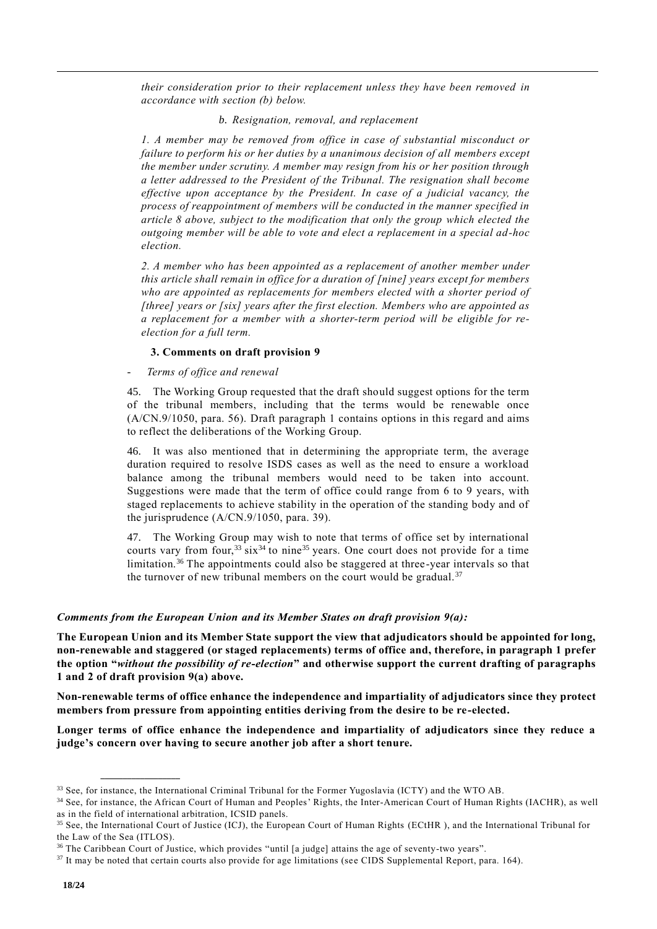*their consideration prior to their replacement unless they have been removed in accordance with section (b) below.*

### *b. Resignation, removal, and replacement*

*1. A member may be removed from office in case of substantial misconduct or failure to perform his or her duties by a unanimous decision of all members except the member under scrutiny. A member may resign from his or her position through a letter addressed to the President of the Tribunal. The resignation shall become effective upon acceptance by the President. In case of a judicial vacancy, the process of reappointment of members will be conducted in the manner specified in article 8 above, subject to the modification that only the group which elected the outgoing member will be able to vote and elect a replacement in a special ad-hoc election.* 

*2. A member who has been appointed as a replacement of another member under this article shall remain in office for a duration of [nine] years except for members who are appointed as replacements for members elected with a shorter period of [three] years or [six] years after the first election. Members who are appointed as a replacement for a member with a shorter-term period will be eligible for reelection for a full term.*

#### **3. Comments on draft provision 9**

# - *Terms of office and renewal*

45. The Working Group requested that the draft should suggest options for the term of the tribunal members, including that the terms would be renewable once (A/CN.9/1050, para. 56). Draft paragraph 1 contains options in this regard and aims to reflect the deliberations of the Working Group.

46. It was also mentioned that in determining the appropriate term, the average duration required to resolve ISDS cases as well as the need to ensure a workload balance among the tribunal members would need to be taken into account. Suggestions were made that the term of office could range from 6 to 9 years, with staged replacements to achieve stability in the operation of the standing body and of the jurisprudence (A/CN.9/1050, para. 39).

47. The Working Group may wish to note that terms of office set by international courts vary from four,<sup>33</sup> six<sup>34</sup> to nine<sup>35</sup> years. One court does not provide for a time limitation.<sup>36</sup> The appointments could also be staggered at three-year intervals so that the turnover of new tribunal members on the court would be gradual.<sup>37</sup>

#### *Comments from the European Union and its Member States on draft provision 9(a):*

**The European Union and its Member State support the view that adjudicators should be appointed for long, non-renewable and staggered (or staged replacements) terms of office and, therefore, in paragraph 1 prefer the option "***without the possibility of re-election***" and otherwise support the current drafting of paragraphs 1 and 2 of draft provision 9(a) above.** 

**Non-renewable terms of office enhance the independence and impartiality of adjudicators since they protect members from pressure from appointing entities deriving from the desire to be re-elected.** 

**Longer terms of office enhance the independence and impartiality of adjudicators since they reduce a judge's concern over having to secure another job after a short tenure.** 

<sup>&</sup>lt;sup>33</sup> See, for instance, the International Criminal Tribunal for the Former Yugoslavia (ICTY) and the WTO AB.

<sup>34</sup> See, for instance, the African Court of Human and Peoples' Rights, the Inter-American Court of Human Rights (IACHR), as well as in the field of international arbitration, ICSID panels.

<sup>&</sup>lt;sup>35</sup> See, the International Court of Justice (ICJ), the European Court of Human Rights (ECtHR), and the International Tribunal for the Law of the Sea (ITLOS).

<sup>36</sup> The Caribbean Court of Justice, which provides "until [a judge] attains the age of seventy-two years".

<sup>&</sup>lt;sup>37</sup> It may be noted that certain courts also provide for age limitations (see CIDS Supplemental Report, para. 164).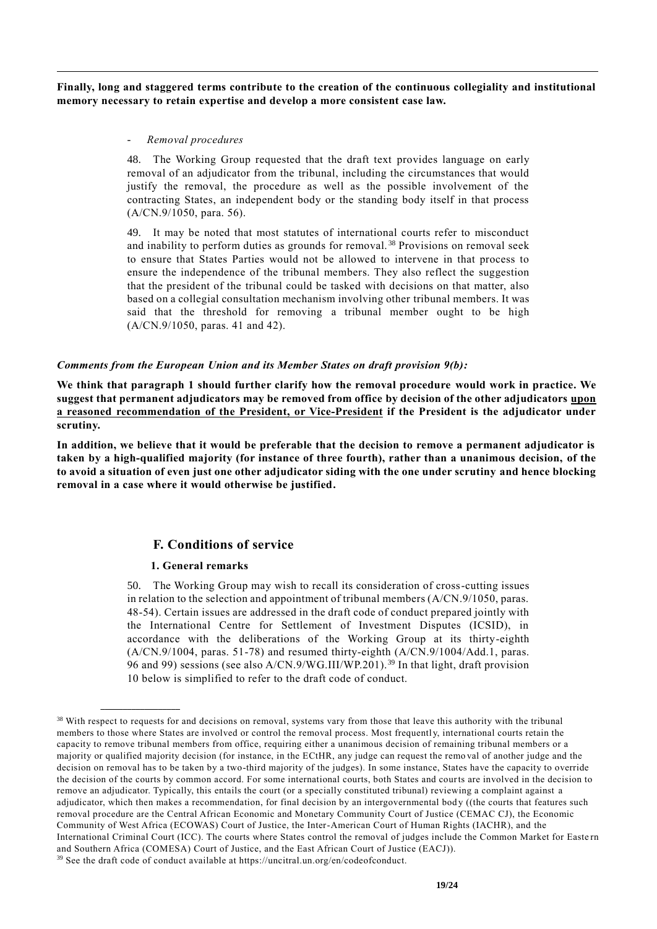**Finally, long and staggered terms contribute to the creation of the continuous collegiality and institutional memory necessary to retain expertise and develop a more consistent case law.**

### - *Removal procedures*

48. The Working Group requested that the draft text provides language on early removal of an adjudicator from the tribunal, including the circumstances that would justify the removal, the procedure as well as the possible involvement of the contracting States, an independent body or the standing body itself in that process (A/CN.9/1050, para. 56).

49. It may be noted that most statutes of international courts refer to misconduct and inability to perform duties as grounds for removal. <sup>38</sup> Provisions on removal seek to ensure that States Parties would not be allowed to intervene in that process to ensure the independence of the tribunal members. They also reflect the suggestion that the president of the tribunal could be tasked with decisions on that matter, also based on a collegial consultation mechanism involving other tribunal members. It was said that the threshold for removing a tribunal member ought to be high (A/CN.9/1050, paras. 41 and 42).

### *Comments from the European Union and its Member States on draft provision 9(b):*

**We think that paragraph 1 should further clarify how the removal procedure would work in practice. We suggest that permanent adjudicators may be removed from office by decision of the other adjudicators upon a reasoned recommendation of the President, or Vice-President if the President is the adjudicator under scrutiny.**

**In addition, we believe that it would be preferable that the decision to remove a permanent adjudicator is taken by a high-qualified majority (for instance of three fourth), rather than a unanimous decision, of the to avoid a situation of even just one other adjudicator siding with the one under scrutiny and hence blocking removal in a case where it would otherwise be justified.**

# **F. Conditions of service**

# **1. General remarks**

**\_\_\_\_\_\_\_\_\_\_\_\_\_\_\_\_\_\_**

50. The Working Group may wish to recall its consideration of cross-cutting issues in relation to the selection and appointment of tribunal members (A/CN.9/1050, paras. 48-54). Certain issues are addressed in the draft code of conduct prepared jointly with the International Centre for Settlement of Investment Disputes (ICSID), in accordance with the deliberations of the Working Group at its thirty-eighth (A/CN.9/1004, paras. 51-78) and resumed thirty-eighth (A/CN.9/1004/Add.1, paras. 96 and 99) sessions (see also A/CN.9/WG.III/WP.201). <sup>39</sup> In that light, draft provision 10 below is simplified to refer to the draft code of conduct.

<sup>&</sup>lt;sup>38</sup> With respect to requests for and decisions on removal, systems vary from those that leave this authority with the tribunal members to those where States are involved or control the removal process. Most frequently, international courts retain the capacity to remove tribunal members from office, requiring either a unanimous decision of remaining tribunal members or a majority or qualified majority decision (for instance, in the ECtHR, any judge can request the remo val of another judge and the decision on removal has to be taken by a two-third majority of the judges). In some instance, States have the capacity to override the decision of the courts by common accord. For some international courts, both States and courts are involved in the decision to remove an adjudicator. Typically, this entails the court (or a specially constituted tribunal) reviewing a complaint against a adjudicator, which then makes a recommendation, for final decision by an intergovernmental bod y ((the courts that features such removal procedure are the Central African Economic and Monetary Community Court of Justice (CEMAC CJ), the Economic Community of West Africa (ECOWAS) Court of Justice, the Inter-American Court of Human Rights (IACHR), and the International Criminal Court (ICC). The courts where States control the removal of judges include the Common Market for Easte rn and Southern Africa (COMESA) Court of Justice, and the East African Court of Justice (EACJ)). <sup>39</sup> See the draft code of conduct available at https://uncitral.un.org/en/codeofconduct.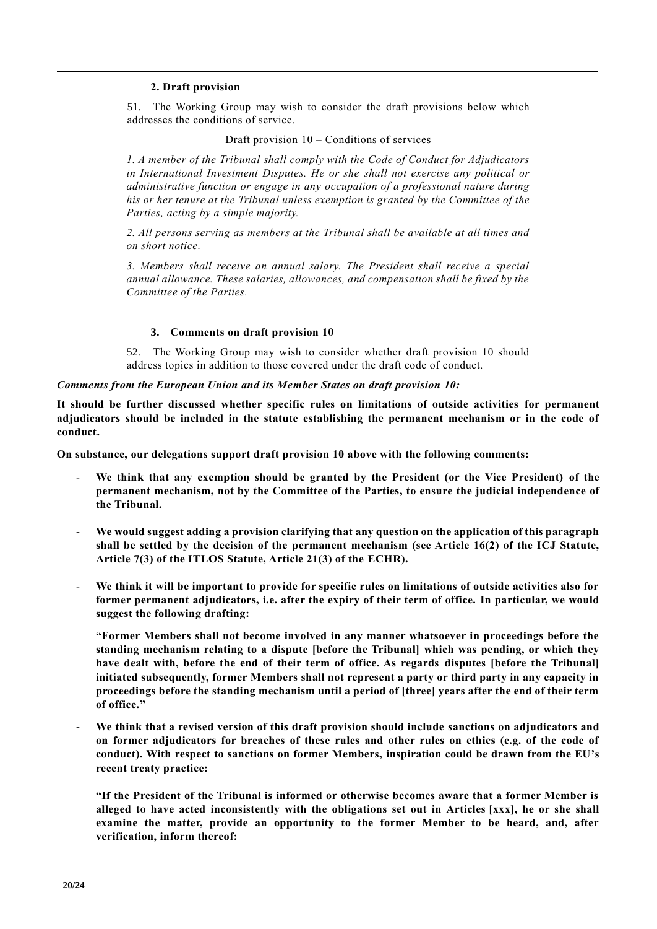# **2. Draft provision**

51. The Working Group may wish to consider the draft provisions below which addresses the conditions of service.

Draft provision 10 – Conditions of services

*1. A member of the Tribunal shall comply with the Code of Conduct for Adjudicators in International Investment Disputes. He or she shall not exercise any political or administrative function or engage in any occupation of a professional nature during his or her tenure at the Tribunal unless exemption is granted by the Committee of the Parties, acting by a simple majority.*

*2. All persons serving as members at the Tribunal shall be available at all times and on short notice.*

*3. Members shall receive an annual salary. The President shall receive a special annual allowance. These salaries, allowances, and compensation shall be fixed by the Committee of the Parties.* 

#### **3. Comments on draft provision 10**

52. The Working Group may wish to consider whether draft provision 10 should address topics in addition to those covered under the draft code of conduct.

*Comments from the European Union and its Member States on draft provision 10:*

**It should be further discussed whether specific rules on limitations of outside activities for permanent adjudicators should be included in the statute establishing the permanent mechanism or in the code of conduct.**

**On substance, our delegations support draft provision 10 above with the following comments:** 

- We think that any exemption should be granted by the President (or the Vice President) of the **permanent mechanism, not by the Committee of the Parties, to ensure the judicial independence of the Tribunal.**
- **We would suggest adding a provision clarifying that any question on the application of this paragraph shall be settled by the decision of the permanent mechanism (see Article 16(2) of the ICJ Statute, Article 7(3) of the ITLOS Statute, Article 21(3) of the ECHR).**
- We think it will be important to provide for specific rules on limitations of outside activities also for **former permanent adjudicators, i.e. after the expiry of their term of office. In particular, we would suggest the following drafting:**

**"Former Members shall not become involved in any manner whatsoever in proceedings before the standing mechanism relating to a dispute [before the Tribunal] which was pending, or which they have dealt with, before the end of their term of office. As regards disputes [before the Tribunal] initiated subsequently, former Members shall not represent a party or third party in any capacity in proceedings before the standing mechanism until a period of [three] years after the end of their term of office."**

- **We think that a revised version of this draft provision should include sanctions on adjudicators and on former adjudicators for breaches of these rules and other rules on ethics (e.g. of the code of conduct). With respect to sanctions on former Members, inspiration could be drawn from the EU's recent treaty practice:**

**"If the President of the Tribunal is informed or otherwise becomes aware that a former Member is alleged to have acted inconsistently with the obligations set out in Articles [xxx], he or she shall examine the matter, provide an opportunity to the former Member to be heard, and, after verification, inform thereof:**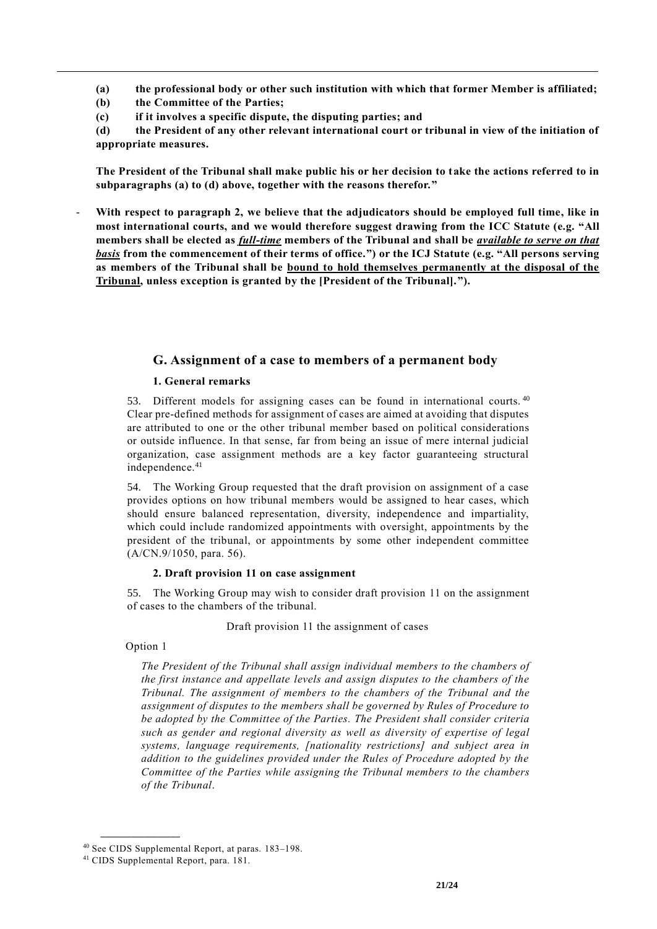**(a) the professional body or other such institution with which that former Member is affiliated;**

**(b) the Committee of the Parties;**

**(c) if it involves a specific dispute, the disputing parties; and**

**(d) the President of any other relevant international court or tribunal in view of the initiation of appropriate measures.**

**The President of the Tribunal shall make public his or her decision to take the actions referred to in subparagraphs (a) to (d) above, together with the reasons therefor."**

With respect to paragraph 2, we believe that the adjudicators should be employed full time, like in **most international courts, and we would therefore suggest drawing from the ICC Statute (e.g. "All members shall be elected as** *full-time* **members of the Tribunal and shall be** *available to serve on that basis* **from the commencement of their terms of office.") or the ICJ Statute (e.g. "All persons serving as members of the Tribunal shall be bound to hold themselves permanently at the disposal of the Tribunal, unless exception is granted by the [President of the Tribunal].").**

# **G. Assignment of a case to members of a permanent body**

# **1. General remarks**

53. Different models for assigning cases can be found in international courts.<sup>40</sup> Clear pre-defined methods for assignment of cases are aimed at avoiding that disputes are attributed to one or the other tribunal member based on political considerations or outside influence. In that sense, far from being an issue of mere internal judicial organization, case assignment methods are a key factor guaranteeing structural independence.<sup>41</sup>

54. The Working Group requested that the draft provision on assignment of a case provides options on how tribunal members would be assigned to hear cases, which should ensure balanced representation, diversity, independence and impartiality, which could include randomized appointments with oversight, appointments by the president of the tribunal, or appointments by some other independent committee (A/CN.9/1050, para. 56).

# **2. Draft provision 11 on case assignment**

55. The Working Group may wish to consider draft provision 11 on the assignment of cases to the chambers of the tribunal.

# Draft provision 11 the assignment of cases

# Option 1

*The President of the Tribunal shall assign individual members to the chambers of the first instance and appellate levels and assign disputes to the chambers of the Tribunal. The assignment of members to the chambers of the Tribunal and the assignment of disputes to the members shall be governed by Rules of Procedure to be adopted by the Committee of the Parties. The President shall consider criteria such as gender and regional diversity as well as diversity of expertise of legal systems, language requirements, [nationality restrictions] and subject area in addition to the guidelines provided under the Rules of Procedure adopted by the Committee of the Parties while assigning the Tribunal members to the chambers of the Tribunal*.

<sup>40</sup> See CIDS Supplemental Report, at paras. 183–198.

<sup>41</sup> CIDS Supplemental Report, para. 181.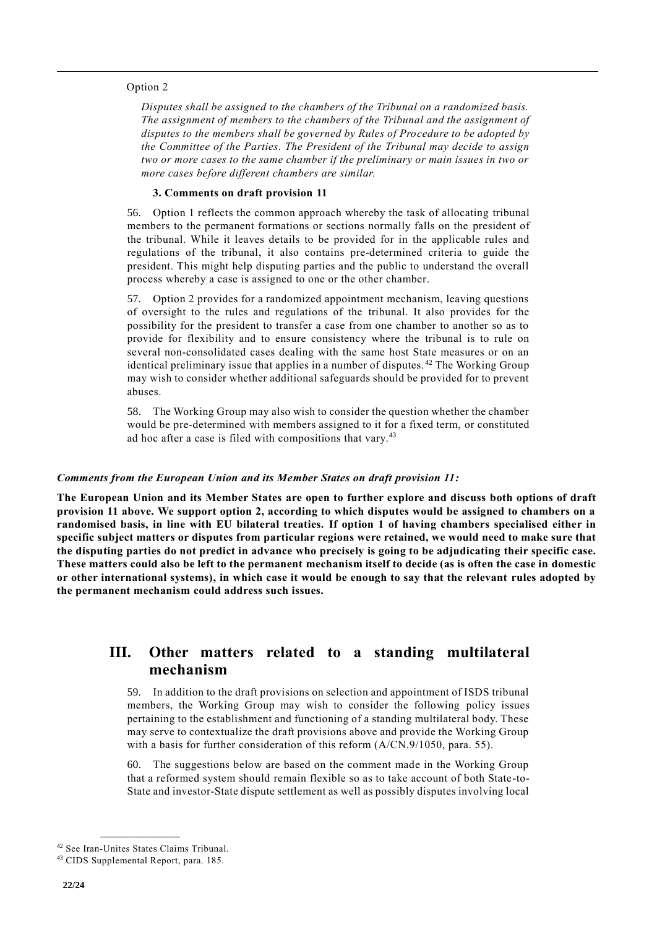#### Option 2

*Disputes shall be assigned to the chambers of the Tribunal on a randomized basis. The assignment of members to the chambers of the Tribunal and the assignment of disputes to the members shall be governed by Rules of Procedure to be adopted by the Committee of the Parties. The President of the Tribunal may decide to assign two or more cases to the same chamber if the preliminary or main issues in two or more cases before different chambers are similar.*

### **3. Comments on draft provision 11**

56. Option 1 reflects the common approach whereby the task of allocating tribunal members to the permanent formations or sections normally falls on the president of the tribunal. While it leaves details to be provided for in the applicable rules and regulations of the tribunal, it also contains pre-determined criteria to guide the president. This might help disputing parties and the public to understand the overall process whereby a case is assigned to one or the other chamber.

57. Option 2 provides for a randomized appointment mechanism, leaving questions of oversight to the rules and regulations of the tribunal. It also provides for the possibility for the president to transfer a case from one chamber to another so as to provide for flexibility and to ensure consistency where the tribunal is to rule on several non-consolidated cases dealing with the same host State measures or on an identical preliminary issue that applies in a number of disputes. <sup>42</sup> The Working Group may wish to consider whether additional safeguards should be provided for to prevent abuses.

58. The Working Group may also wish to consider the question whether the chamber would be pre-determined with members assigned to it for a fixed term, or constituted ad hoc after a case is filed with compositions that vary.<sup>43</sup>

# *Comments from the European Union and its Member States on draft provision 11:*

**The European Union and its Member States are open to further explore and discuss both options of draft provision 11 above. We support option 2, according to which disputes would be assigned to chambers on a randomised basis, in line with EU bilateral treaties. If option 1 of having chambers specialised either in specific subject matters or disputes from particular regions were retained, we would need to make sure that the disputing parties do not predict in advance who precisely is going to be adjudicating their specific case. These matters could also be left to the permanent mechanism itself to decide (as is often the case in domestic or other international systems), in which case it would be enough to say that the relevant rules adopted by the permanent mechanism could address such issues.** 

# **III. Other matters related to a standing multilateral mechanism**

59. In addition to the draft provisions on selection and appointment of ISDS tribunal members, the Working Group may wish to consider the following policy issues pertaining to the establishment and functioning of a standing multilateral body. These may serve to contextualize the draft provisions above and provide the Working Group with a basis for further consideration of this reform (A/CN.9/1050, para. 55).

60. The suggestions below are based on the comment made in the Working Group that a reformed system should remain flexible so as to take account of both State-to-State and investor-State dispute settlement as well as possibly disputes involving local

**\_\_\_\_\_\_\_\_\_\_\_\_\_\_\_\_\_\_** <sup>42</sup> See Iran-Unites States Claims Tribunal.

<sup>43</sup> CIDS Supplemental Report, para. 185.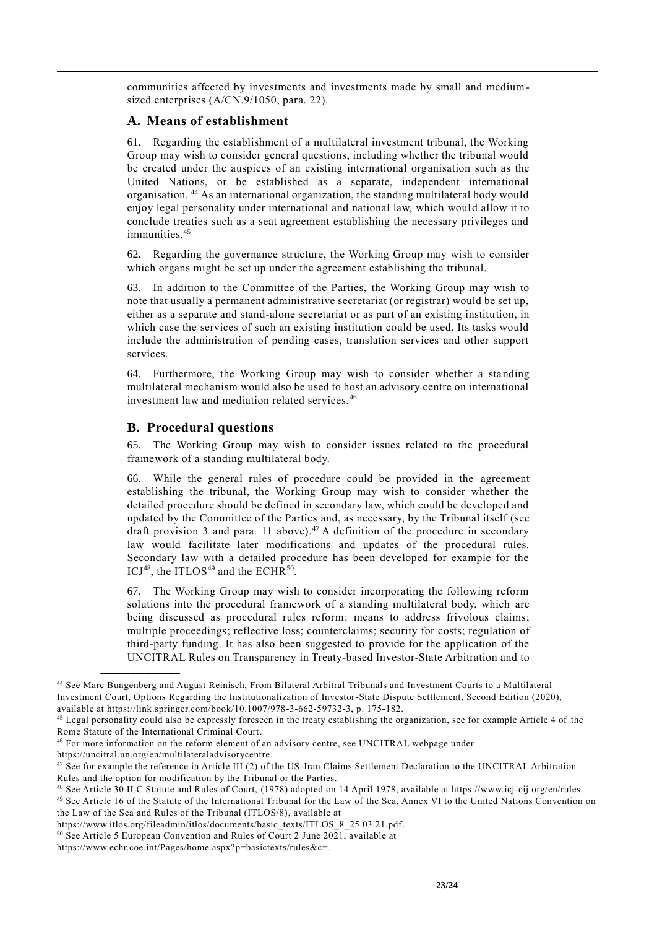communities affected by investments and investments made by small and mediumsized enterprises (A/CN.9/1050, para. 22).

# **A. Means of establishment**

61. Regarding the establishment of a multilateral investment tribunal, the Working Group may wish to consider general questions, including whether the tribunal would be created under the auspices of an existing international organisation such as the United Nations, or be established as a separate, independent international organisation. <sup>44</sup> As an international organization, the standing multilateral body would enjoy legal personality under international and national law, which would allow it to conclude treaties such as a seat agreement establishing the necessary privileges and immunities.<sup>45</sup>

62. Regarding the governance structure, the Working Group may wish to consider which organs might be set up under the agreement establishing the tribunal.

63. In addition to the Committee of the Parties, the Working Group may wish to note that usually a permanent administrative secretariat (or registrar) would be set up, either as a separate and stand-alone secretariat or as part of an existing institution, in which case the services of such an existing institution could be used. Its tasks would include the administration of pending cases, translation services and other support services.

64. Furthermore, the Working Group may wish to consider whether a standing multilateral mechanism would also be used to host an advisory centre on international investment law and mediation related services. <sup>46</sup>

# **B. Procedural questions**

65. The Working Group may wish to consider issues related to the procedural framework of a standing multilateral body.

66. While the general rules of procedure could be provided in the agreement establishing the tribunal, the Working Group may wish to consider whether the detailed procedure should be defined in secondary law, which could be developed and updated by the Committee of the Parties and, as necessary, by the Tribunal itself (see draft provision 3 and para. 11 above). <sup>47</sup> A definition of the procedure in secondary law would facilitate later modifications and updates of the procedural rules. Secondary law with a detailed procedure has been developed for example for the  $\text{ICJ}^{48}$ , the ITLOS<sup>49</sup> and the ECHR<sup>50</sup>.

67. The Working Group may wish to consider incorporating the following reform solutions into the procedural framework of a standing multilateral body, which are being discussed as procedural rules reform: means to address frivolous claims; multiple proceedings; reflective loss; counterclaims; security for costs; regulation of third-party funding. It has also been suggested to provide for the application of the UNCITRAL Rules on Transparency in Treaty-based Investor-State Arbitration and to

<sup>44</sup> See Marc Bungenberg and August Reinisch, From Bilateral Arbitral Tribunals and Investment Courts to a Multilateral Investment Court, Options Regarding the Institutionalization of Investor-State Dispute Settlement, Second Edition (2020), available at https://link.springer.com/book/10.1007/978-3-662-59732-3, p. 175-182.

<sup>&</sup>lt;sup>45</sup> Legal personality could also be expressly foreseen in the treaty establishing the organization, see for example Article 4 of the Rome Statute of the International Criminal Court.

<sup>46</sup> For more information on the reform element of an advisory centre, see UNCITRAL webpage under https://uncitral.un.org/en/multilateraladvisorycentre.

<sup>&</sup>lt;sup>47</sup> See for example the reference in Article III (2) of the US-Iran Claims Settlement Declaration to the UNCITRAL Arbitration Rules and the option for modification by the Tribunal or the Parties.

<sup>48</sup> See Article 30 ILC Statute and Rules of Court, (1978) adopted on 14 April 1978, available at https://www.icj-cij.org/en/rules.

<sup>&</sup>lt;sup>49</sup> See Article 16 of the Statute of the International Tribunal for the Law of the Sea, Annex VI to the United Nations Convention on the Law of the Sea and Rules of the Tribunal (ITLOS/8), available at

https://www.itlos.org/fileadmin/itlos/documents/basic\_texts/ITLOS\_8\_25.03.21.pdf.

<sup>50</sup> See Article 5 European Convention and Rules of Court 2 June 2021, available at

https://www.echr.coe.int/Pages/home.aspx?p=basictexts/rules&c=.